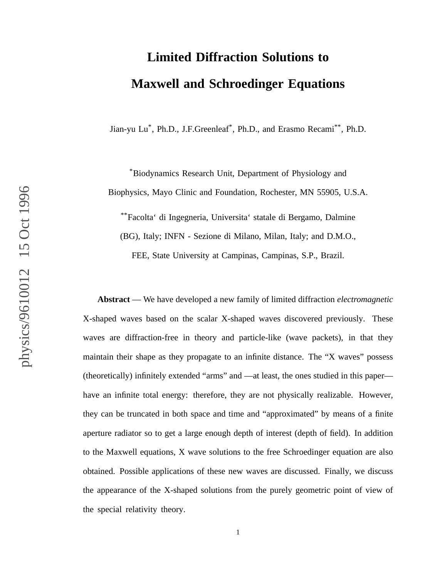# **Limited Diffraction Solutions to Maxwell and Schroedinger Equations**

Jian-yu Lu<sup>\*</sup>, Ph.D., J.F.Greenleaf<sup>\*</sup>, Ph.D., and Erasmo Recami<sup>\*\*</sup>, Ph.D.

\*Biodynamics Research Unit, Department of Physiology and Biophysics, Mayo Clinic and Foundation, Rochester, MN 55905, U.S.A.

\*\*Facolta' di Ingegneria, Universita' statale di Bergamo, Dalmine (BG), Italy; INFN - Sezione di Milano, Milan, Italy; and D.M.O.,

FEE, State University at Campinas, Campinas, S.P., Brazil.

**Abstract** — We have developed a new family of limited diffraction *electromagnetic* X-shaped waves based on the scalar X-shaped waves discovered previously. These waves are diffraction-free in theory and particle-like (wave packets), in that they maintain their shape as they propagate to an infinite distance. The "X waves" possess (theoretically) infinitely extended "arms" and —at least, the ones studied in this paper have an infinite total energy: therefore, they are not physically realizable. However, they can be truncated in both space and time and "approximated" by means of a finite aperture radiator so to get a large enough depth of interest (depth of field). In addition to the Maxwell equations, X wave solutions to the free Schroedinger equation are also obtained. Possible applications of these new waves are discussed. Finally, we discuss the appearance of the X-shaped solutions from the purely geometric point of view of the special relativity theory.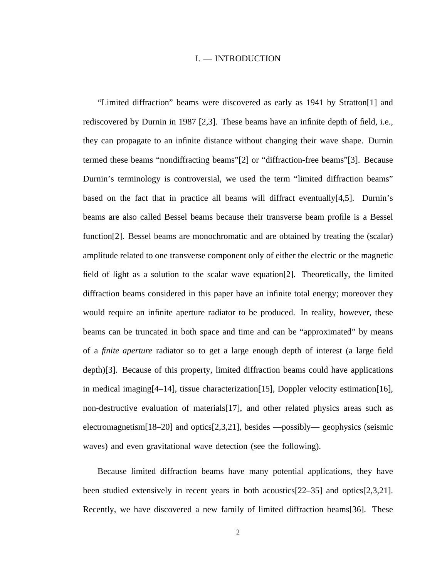#### I. — INTRODUCTION

"Limited diffraction" beams were discovered as early as 1941 by Stratton[1] and rediscovered by Durnin in 1987 [2,3]. These beams have an infinite depth of field, i.e., they can propagate to an infinite distance without changing their wave shape. Durnin termed these beams "nondiffracting beams"[2] or "diffraction-free beams"[3]. Because Durnin's terminology is controversial, we used the term "limited diffraction beams" based on the fact that in practice all beams will diffract eventually $[4,5]$ . Durnin's beams are also called Bessel beams because their transverse beam profile is a Bessel function[2]. Bessel beams are monochromatic and are obtained by treating the (scalar) amplitude related to one transverse component only of either the electric or the magnetic field of light as a solution to the scalar wave equation[2]. Theoretically, the limited diffraction beams considered in this paper have an infinite total energy; moreover they would require an infinite aperture radiator to be produced. In reality, however, these beams can be truncated in both space and time and can be "approximated" by means of a *finite aperture* radiator so to get a large enough depth of interest (a large field depth)[3]. Because of this property, limited diffraction beams could have applications in medical imaging[4–14], tissue characterization[15], Doppler velocity estimation[16], non-destructive evaluation of materials[17], and other related physics areas such as electromagnetism[18–20] and optics[2,3,21], besides —possibly— geophysics (seismic waves) and even gravitational wave detection (see the following).

Because limited diffraction beams have many potential applications, they have been studied extensively in recent years in both acoustics[22–35] and optics[2,3,21]. Recently, we have discovered a new family of limited diffraction beams[36]. These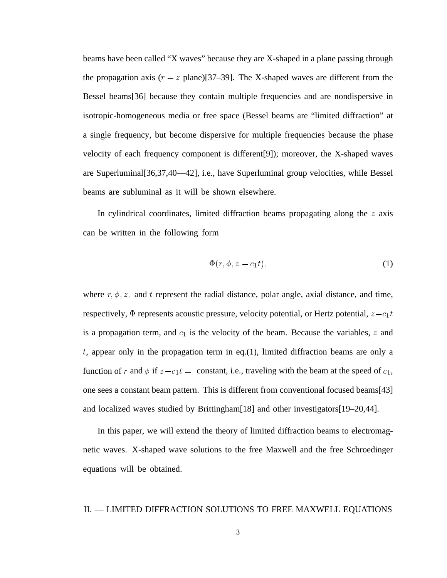beams have been called "X waves" because they are X-shaped in a plane passing through the propagation axis  $(r - z)$  plane)[37–39]. The X-shaped waves are different from the Bessel beams[36] because they contain multiple frequencies and are nondispersive in isotropic-homogeneous media or free space (Bessel beams are "limited diffraction" at a single frequency, but become dispersive for multiple frequencies because the phase velocity of each frequency component is different[9]); moreover, the X-shaped waves are Superluminal[36,37,40—42], i.e., have Superluminal group velocities, while Bessel beams are subluminal as it will be shown elsewhere.

In cylindrical coordinates, limited diffraction beams propagating along the  $z$  axis can be written in the following form

$$
\Phi(r,\phi,z-c_1t),\tag{1}
$$

where  $r, \phi, z$ , and t represent the radial distance, polar angle, axial distance, and time, respectively,  $\Phi$  represents acoustic pressure, velocity potential, or Hertz potential,  $z - c_1 t$ is a propagation term, and  $c_1$  is the velocity of the beam. Because the variables, z and  $t$ , appear only in the propagation term in eq.(1), limited diffraction beams are only a function of r and  $\phi$  if  $z - c_1 t =$  constant, i.e., traveling with the beam at the speed of  $c_1$ , one sees a constant beam pattern. This is different from conventional focused beams[43] and localized waves studied by Brittingham[18] and other investigators[19–20,44].

In this paper, we will extend the theory of limited diffraction beams to electromagnetic waves. X-shaped wave solutions to the free Maxwell and the free Schroedinger equations will be obtained.

# II. — LIMITED DIFFRACTION SOLUTIONS TO FREE MAXWELL EQUATIONS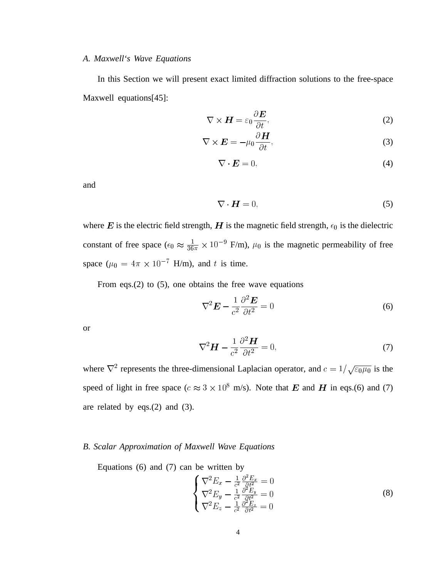# *A. Maxwell's Wave Equations*

In this Section we will present exact limited diffraction solutions to the free-space Maxwell equations[45]:

$$
\nabla \times \boldsymbol{H} = \varepsilon_0 \frac{\partial \boldsymbol{E}}{\partial t},
$$
 (2)

$$
\nabla \times \boldsymbol{E} = -\mu_0 \frac{\partial \boldsymbol{H}}{\partial t},\tag{3}
$$

$$
\nabla \cdot \boldsymbol{E} = 0,\tag{4}
$$

and

$$
\nabla \cdot \boldsymbol{H} = 0,\tag{5}
$$

where E is the electric field strength, H is the magnetic field strength,  $\epsilon_0$  is the dielectric constant of free space  $(\epsilon_0 \approx \frac{1}{36\pi} \times 10^{-9} \text{ F/m})$ ,  $\mu_0$  is the magnetic permeability of free space ( $\mu_0 = 4\pi \times 10^{-7}$  H/m), and t is time.

From eqs.(2) to (5), one obtains the free wave equations

$$
\nabla^2 \boldsymbol{E} - \frac{1}{c^2} \frac{\partial^2 \boldsymbol{E}}{\partial t^2} = 0
$$
 (6)

or

$$
\nabla^2 \boldsymbol{H} - \frac{1}{c^2} \frac{\partial^2 \boldsymbol{H}}{\partial t^2} = 0,
$$
\n(7)

where  $\nabla^2$  represents the three-dimensional Laplacian operator, and  $c = 1/\sqrt{\epsilon_0 \mu_0}$  is the speed of light in free space ( $c \approx 3 \times 10^8$  m/s). Note that E and H in eqs.(6) and (7) are related by eqs.(2) and (3).

#### *B. Scalar Approximation of Maxwell Wave Equations*

Equations (6) and (7) can be written by

$$
\begin{cases}\n\nabla^2 E_x - \frac{1}{c^2} \frac{\partial^2 E_x}{\partial t^2} = 0\\ \nabla^2 E_y - \frac{1}{c^2} \frac{\partial^2 E_y}{\partial t^2} = 0\\ \nabla^2 E_z - \frac{1}{c^2} \frac{\partial^2 E_z}{\partial t^2} = 0\n\end{cases}
$$
\n(8)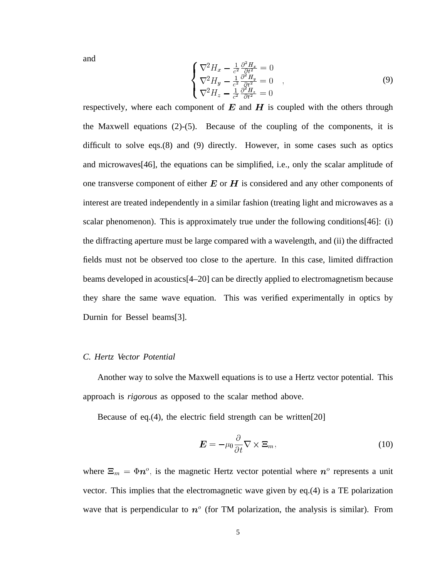and  $\sim$ 

$$
\begin{cases}\n\nabla^2 H_x - \frac{1}{c^2} \frac{\partial^2 H_x}{\partial t^2} = 0\\ \nabla^2 H_y - \frac{1}{c^2} \frac{\partial^2 H_y}{\partial t^2} = 0\\ \nabla^2 H_z - \frac{1}{c^2} \frac{\partial^2 H_z}{\partial t^2} = 0\n\end{cases}
$$
\n(9)

respectively, where each component of  $E$  and  $H$  is coupled with the others through the Maxwell equations (2)-(5). Because of the coupling of the components, it is difficult to solve eqs.(8) and (9) directly. However, in some cases such as optics and microwaves[46], the equations can be simplified, i.e., only the scalar amplitude of one transverse component of either  $E$  or  $H$  is considered and any other components of interest are treated independently in a similar fashion (treating light and microwaves as a scalar phenomenon). This is approximately true under the following conditions[46]: (i) the diffracting aperture must be large compared with a wavelength, and (ii) the diffracted fields must not be observed too close to the aperture. In this case, limited diffraction beams developed in acoustics[4–20] can be directly applied to electromagnetism because they share the same wave equation. This was verified experimentally in optics by Durnin for Bessel beams[3].

#### *C. Hertz Vector Potential*

Another way to solve the Maxwell equations is to use a Hertz vector potential. This approach is *rigorous* as opposed to the scalar method above.

Because of eq.(4), the electric field strength can be written[20]

$$
\mathbf{E} = -\mu_0 \frac{\partial}{\partial t} \nabla \times \mathbf{\Xi}_m, \tag{10}
$$

where  $\Xi_m = \Phi n^{\circ}$ , is the magnetic Hertz vector potential where  $n^{\circ}$  represents a unit vector. This implies that the electromagnetic wave given by eq.(4) is a TE polarization wave that is perpendicular to  $n^{\circ}$  (for TM polarization, the analysis is similar). From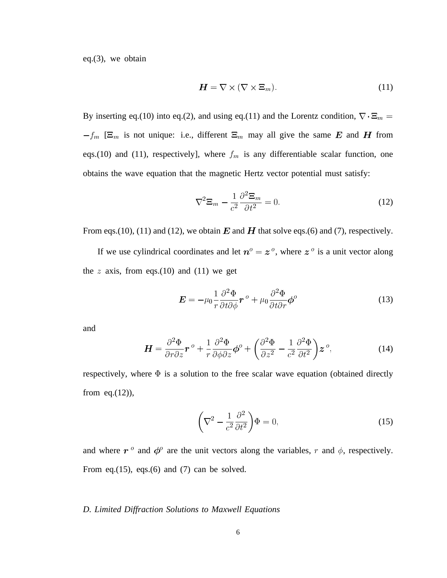eq.(3), we obtain

$$
H = \nabla \times (\nabla \times \Xi_m). \tag{11}
$$

By inserting eq.(10) into eq.(2), and using eq.(11) and the Lorentz condition,  $\nabla \cdot \mathbf{\Xi}_{m} =$  $f_m$  [ $\Xi_m$  is not unique: i.e., different  $\Xi_m$  may all give the same E and H from eqs.(10) and (11), respectively], where  $f_m$  is any differentiable scalar function, one obtains the wave equation that the magnetic Hertz vector potential must satisfy:

$$
\nabla^2 \mathbf{\Xi}_m - \frac{1}{c^2} \frac{\partial^2 \mathbf{\Xi}_m}{\partial t^2} = 0.
$$
 (12)

From eqs.(10), (11) and (12), we obtain  $E$  and  $H$  that solve eqs.(6) and (7), respectively.

If we use cylindrical coordinates and let  $n^{\circ} = z^{\circ}$ , where  $z^{\circ}$  is a unit vector along the z axis, from eqs.(10) and (11) we get

$$
\mathbf{E} = -\mu_0 \frac{1}{r} \frac{\partial^2 \Phi}{\partial t \partial \phi} \mathbf{r}^{\,o} + \mu_0 \frac{\partial^2 \Phi}{\partial t \partial r} \phi^o \tag{13}
$$

and

$$
\boldsymbol{H} = \frac{\partial^2 \Phi}{\partial r \partial z} \boldsymbol{r}^o + \frac{1}{r} \frac{\partial^2 \Phi}{\partial \phi \partial z} \boldsymbol{\phi}^o + \left( \frac{\partial^2 \Phi}{\partial z^2} - \frac{1}{c^2} \frac{\partial^2 \Phi}{\partial t^2} \right) \boldsymbol{z}^o, \tag{14}
$$

respectively, where  $\Phi$  is a solution to the free scalar wave equation (obtained directly from eq. $(12)$ ),

$$
\left(\nabla^2 - \frac{1}{c^2} \frac{\partial^2}{\partial t^2}\right) \Phi = 0,\tag{15}
$$

and where  $r^{\circ}$  and  $\phi^{\circ}$  are the unit vectors along the variables, r and  $\phi$ , respectively. From eq.(15), eqs.(6) and (7) can be solved.

#### *D. Limited Diffraction Solutions to Maxwell Equations*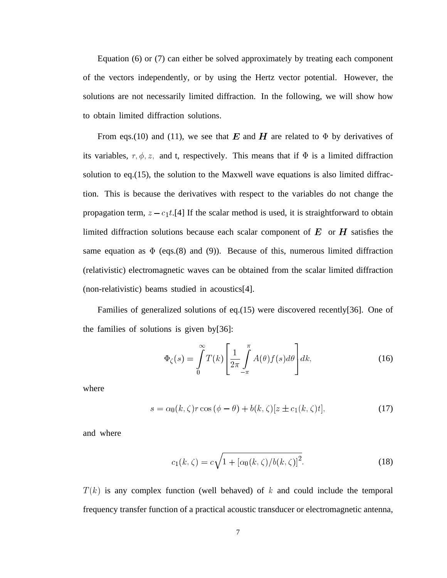Equation (6) or (7) can either be solved approximately by treating each component of the vectors independently, or by using the Hertz vector potential. However, the solutions are not necessarily limited diffraction. In the following, we will show how to obtain limited diffraction solutions.

From eqs.(10) and (11), we see that E and H are related to  $\Phi$  by derivatives of its variables,  $r, \phi, z$ , and t, respectively. This means that if  $\Phi$  is a limited diffraction solution to eq.(15), the solution to the Maxwell wave equations is also limited diffraction. This is because the derivatives with respect to the variables do not change the propagation term,  $z - c_1t$ . [4] If the scalar method is used, it is straightforward to obtain limited diffraction solutions because each scalar component of  $E$  or  $H$  satisfies the same equation as  $\Phi$  (eqs.(8) and (9)). Because of this, numerous limited diffraction (relativistic) electromagnetic waves can be obtained from the scalar limited diffraction (non-relativistic) beams studied in acoustics[4].

Families of generalized solutions of eq.(15) were discovered recently[36]. One of the families of solutions is given by[36]:

$$
\Phi_{\zeta}(s) = \int_{0}^{\infty} T(k) \left[ \frac{1}{2\pi} \int_{-\pi}^{\pi} A(\theta) f(s) d\theta \right] dk,
$$
\n(16)

where

$$
s = \alpha_0(k,\zeta)r\cos(\phi-\theta) + b(k,\zeta)[z \pm c_1(k,\zeta)t],\tag{17}
$$

and where

$$
c_1(k,\zeta) = c\sqrt{1 + [\alpha_0(k,\zeta)/b(k,\zeta)]^2}.
$$
 (18)

 $T(k)$  is any complex function (well behaved) of k and could include the temporal frequency transfer function of a practical acoustic transducer or electromagnetic antenna,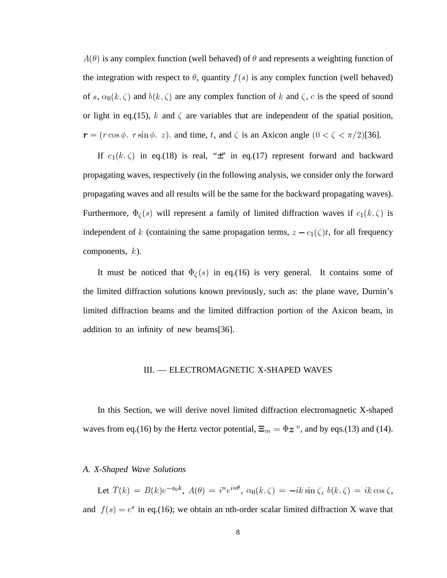$A(\theta)$  is any complex function (well behaved) of  $\theta$  and represents a weighting function of the integration with respect to  $\theta$ , quantity  $f(s)$  is any complex function (well behaved) of s,  $\alpha_0(k,\zeta)$  and  $b(k,\zeta)$  are any complex function of k and  $\zeta$ , c is the speed of sound or light in eq.(15), k and  $\zeta$  are variables that are independent of the spatial position,  $= (r \cos \phi, r \sin \phi, z)$ , and time, t, and  $\zeta$  is an Axicon angle  $(0 < \zeta < \pi/2)$ [36].

If  $c_1(k,\zeta)$  in eq.(18) is real, " $\pm$ " in eq.(17) represent forward and backward propagating waves, respectively (in the following analysis, we consider only the forward propagating waves and all results will be the same for the backward propagating waves). Furthermore,  $\Phi_{\zeta}(s)$  will represent a family of limited diffraction waves if  $c_1(k,\zeta)$  is independent of k (containing the same propagation terms,  $z - c_1(\zeta)t$ , for all frequency components,  $k$ ).

It must be noticed that  $\Phi<sub>C</sub>(s)$  in eq.(16) is very general. It contains some of the limited diffraction solutions known previously, such as: the plane wave, Durnin's limited diffraction beams and the limited diffraction portion of the Axicon beam, in addition to an infinity of new beams[36].

#### III. — ELECTROMAGNETIC X-SHAPED WAVES

In this Section, we will derive novel limited diffraction electromagnetic X-shaped waves from eq.(16) by the Hertz vector potential,  $\Xi_m = \Phi z^{\circ}$ , and by eqs.(13) and (14).

## *A. X-Shaped Wave Solutions*

Let  $T(k) = B(k)e^{-a_0k}$ ,  $A(\theta) = i^ne^{in\theta}$ ,  $\alpha_0(k,\zeta) = -ik\sin\zeta$ ,  $b(k,\zeta) = ik\cos\zeta$ , and  $f(s) = e^s$  in eq.(16); we obtain an nth-order scalar limited diffraction X wave that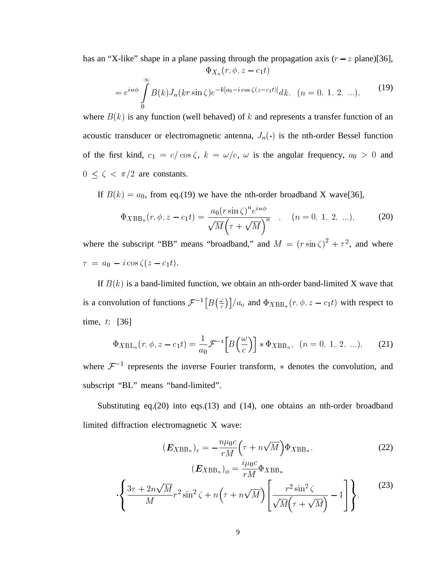has an "X-like" shape in a plane passing through the propagation axis  $(r - z$  plane)[36],

-

$$
\Psi_{X_n}(t, \varphi, z = c_1 t)
$$
  
=  $e^{in\phi} \int_{0}^{\infty} B(k) J_n(kr \sin \zeta) e^{-k[a_0 - i \cos \zeta(z - c_1 t)]} dk, \quad (n = 0, 1, 2, ...),$  (19)

where  $B(k)$  is any function (well behaved) of k and represents a transfer function of an acoustic transducer or electromagnetic antenna,  $J_n(\cdot)$  is the nth-order Bessel function of the first kind,  $c_1 = c/\cos\zeta$ ,  $k = \omega/c$ ,  $\omega$  is the angular frequency,  $a_0 > 0$  and  $0 \leq \zeta < \pi/2$  are constants.

If  $B(k) = a_0$ , from eq.(19) we have the nth-order broadband X wave[36],

$$
\Phi_{XBB_n}(r, \phi, z - c_1 t) = \frac{a_0 (r \sin \zeta)^n e^{in\phi}}{\sqrt{M} \left(\tau + \sqrt{M}\right)^n}, \quad (n = 0, 1, 2, ...), \tag{20}
$$

where the subscript "BB" means "broadband," and  $M = (r \sin \zeta)^2 + \tau^2$ , and where  $\tau = a_0 - i \cos \zeta (z - c_1 t).$ 

If  $B(k)$  is a band-limited function, we obtain an nth-order band-limited X wave that is a convolution of functions  $\mathcal{F}^{-1}[B(\frac{\omega}{c})]/a_0$  and  $\Phi_{XBB_n}(r,\phi,z-c_1t)$  with respect to time,  $t$ : [36]

$$
\Phi_{XBL_n}(r, \phi, z - c_1 t) = \frac{1}{a_0} \mathcal{F}^{-1} \Big[ B \Big( \frac{\omega}{c} \Big) \Big] * \Phi_{XBB_n}, \ \ (n = 0, 1, 2, \ldots), \tag{21}
$$

where  $\mathcal{F}^{-1}$  represents the inverse Fourier transform,  $*$  denotes the convolution, and subscript "BL" means "band-limited".

Substituting eq.(20) into eqs.(13) and (14), one obtains an nth-order broadband limited diffraction electromagnetic X wave:

$$
(\boldsymbol{E}_{XBB_n})_r = -\frac{n\mu_0 c}{rM} \left(\tau + n\sqrt{M}\right) \Phi_{XBB_n},
$$
  

$$
(\boldsymbol{E}_{XBB_n})_\phi = \frac{i\mu_0 c}{rM} \Phi_{XBB_n}
$$
 (22)

$$
\cdot \left\{ \frac{3\tau + 2n\sqrt{M}}{M} r^2 \sin^2 \zeta + n\left(\tau + n\sqrt{M}\right) \left[ \frac{r^2 \sin^2 \zeta}{\sqrt{M}\left(\tau + \sqrt{M}\right)} - 1 \right] \right\},
$$
(23)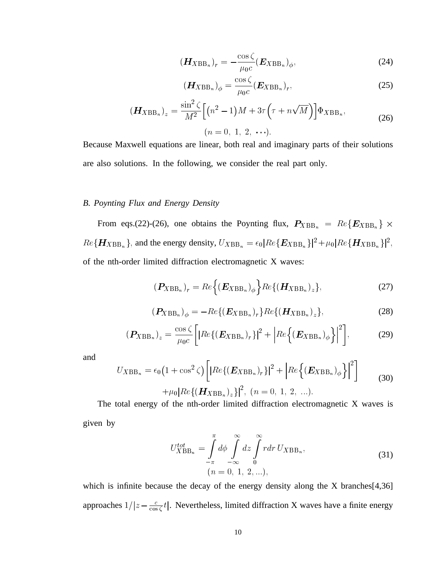$$
(\boldsymbol{H}_{XBB_n})_r = -\frac{\cos\zeta}{\mu_0 c} (\boldsymbol{E}_{XBB_n})_\phi, \qquad (24)
$$

$$
(\boldsymbol{H}_{XBB_n})_{\phi} = \frac{\cos \zeta}{\mu_0 c} (\boldsymbol{E}_{XBB_n})_r, \qquad (25)
$$

$$
(\boldsymbol{H}_{XBB_n})_z = \frac{\sin^2 \zeta}{M^2} \Big[ (n^2 - 1) M + 3\tau \Big( \tau + n\sqrt{M} \Big) \Big] \Phi_{XBB_n},
$$
\n
$$
(n = 0, 1, 2, \cdots).
$$
\n(26)

Because Maxwell equations are linear, both real and imaginary parts of their solutions are also solutions. In the following, we consider the real part only.

#### *B. Poynting Flux and Energy Density*

From eqs.(22)-(26), one obtains the Poynting flux,  $P_{XBB_n} = Re\{E_{XBB_n}\}\times$  $Re\{H_{XBB_n}\}\$ , and the energy density,  $U_{XBB_n} = \epsilon_0[Re\{E_{XBB_n}\}]^2 + \mu_0[Re\{H_{XBB_n}\}]^2$ , \* of the nth-order limited diffraction electromagnetic X waves:

$$
(\boldsymbol{P}_{XBB_n})_r = Re\left\{ (\boldsymbol{E}_{XBB_n})_{\phi} \right\} Re\{ (\boldsymbol{H}_{XBB_n})_z \},
$$
 (27)

$$
(\boldsymbol{P}_{XBB_n})_{\phi} = -Re\{(\boldsymbol{E}_{XBB_n})_r\}Re\{(\boldsymbol{H}_{XBB_n})_z\},\tag{28}
$$

$$
(\boldsymbol{P}_{XBB_n})_z = \frac{\cos \zeta}{\mu_0 c} \bigg[ |Re \{ (\boldsymbol{E}_{XBB_n})_r \} |^2 + |Re \{ (\boldsymbol{E}_{XBB_n})_\phi \} |^2 \bigg], \tag{29}
$$

and

$$
U_{XBB_n} = \epsilon_0 \left( 1 + \cos^2 \zeta \right) \left[ |Re \{ (\boldsymbol{E}_{XBB_n})_r \} |^2 + |Re \{ (\boldsymbol{E}_{XBB_n})_\phi \} |^2 \right] + \mu_0 |Re \{ (\boldsymbol{H}_{XBB_n})_z \} |^2, \ (n = 0, 1, 2, ...).
$$
 (30)

The total energy of the nth-order limited diffraction electromagnetic X waves is given by

$$
U_{XBB_n}^{tot} = \int_{-\pi}^{\pi} d\phi \int_{-\infty}^{\infty} dz \int_{0}^{\infty} r dr U_{XBB_n},
$$
  
\n
$$
(n = 0, 1, 2, ...),
$$
\n(31)

which is infinite because the decay of the energy density along the X branches<sup>[4,36]</sup> approaches  $1/|z - \frac{c}{\cos \zeta} t|$ . Nevertheless, limited diffraction X waves have a finite energy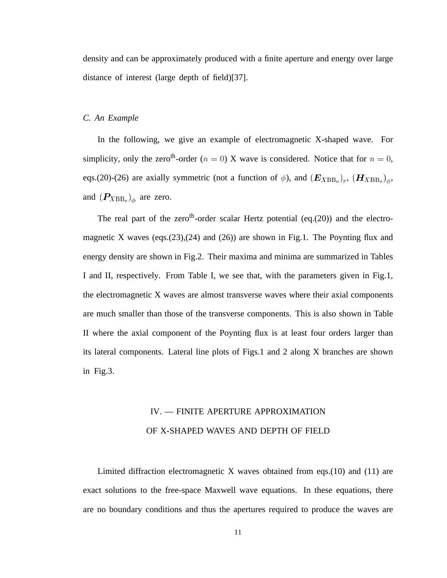density and can be approximately produced with a finite aperture and energy over large distance of interest (large depth of field)[37].

#### *C. An Example*

In the following, we give an example of electromagnetic X-shaped wave. For simplicity, only the zero<sup>th</sup>-order ( $n = 0$ ) X wave is considered. Notice that for  $n = 0$ , eqs.(20)-(26) are axially symmetric (not a function of  $\phi$ ), and  $(\boldsymbol{E}_{XBB_o})_r$ ,  $(\boldsymbol{H}_{XBB_o})_{\phi}$ , and  $(P_{XBB_0})_{\phi}$  are zero.

The real part of the zeroth-order scalar Hertz potential (eq.(20)) and the electromagnetic X waves (eqs. $(23)$ , $(24)$  and  $(26)$ ) are shown in Fig.1. The Poynting flux and energy density are shown in Fig.2. Their maxima and minima are summarized in Tables I and II, respectively. From Table I, we see that, with the parameters given in Fig.1, the electromagnetic X waves are almost transverse waves where their axial components are much smaller than those of the transverse components. This is also shown in Table II where the axial component of the Poynting flux is at least four orders larger than its lateral components. Lateral line plots of Figs.1 and 2 along X branches are shown in Fig.3.

# IV. — FINITE APERTURE APPROXIMATION OF X-SHAPED WAVES AND DEPTH OF FIELD

Limited diffraction electromagnetic X waves obtained from eqs.(10) and (11) are exact solutions to the free-space Maxwell wave equations. In these equations, there are no boundary conditions and thus the apertures required to produce the waves are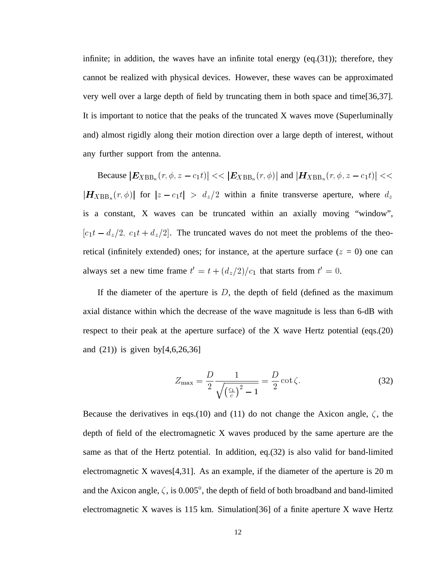infinite; in addition, the waves have an infinite total energy  $(eq.(31))$ ; therefore, they cannot be realized with physical devices. However, these waves can be approximated very well over a large depth of field by truncating them in both space and time[36,37]. It is important to notice that the peaks of the truncated X waves move (Superluminally and) almost rigidly along their motion direction over a large depth of interest, without any further support from the antenna.

Because  $|E_{XBB_n}(r, \phi, z - c_1t)| \ll |E_{XBB_n}(r, \phi)|$  and  $|H_{XBB_n}(r, \phi, z - c_1t)| \ll$   $(r, \phi)$  for  $|z - c_1 t| > d_z/2$  within a finite transverse aperture, where  $d_z$ is a constant, X waves can be truncated within an axially moving "window",  $[c_1t - d_z/2, c_1t + d_z/2]$ . The truncated waves do not meet the problems of the theoretical (infinitely extended) ones; for instance, at the aperture surface  $(z = 0)$  one can always set a new time frame  $t' = t + (d_z/2)/c_1$  that starts from  $t' = 0$ .

If the diameter of the aperture is  $D$ , the depth of field (defined as the maximum axial distance within which the decrease of the wave magnitude is less than 6-dB with respect to their peak at the aperture surface) of the X wave Hertz potential (eqs.(20) and  $(21)$ ) is given by [4, 6, 26, 36]

$$
Z_{\text{max}} = \frac{D}{2} \frac{1}{\sqrt{\left(\frac{c_1}{c}\right)^2 - 1}} = \frac{D}{2} \cot \zeta.
$$
 (32)

Because the derivatives in eqs.(10) and (11) do not change the Axicon angle,  $\zeta$ , the depth of field of the electromagnetic X waves produced by the same aperture are the same as that of the Hertz potential. In addition, eq.(32) is also valid for band-limited electromagnetic X waves[4,31]. As an example, if the diameter of the aperture is 20 m and the Axicon angle,  $\zeta$ , is 0.005°, the depth of field of both broadband and band-limited electromagnetic X waves is 115 km. Simulation[36] of a finite aperture X wave Hertz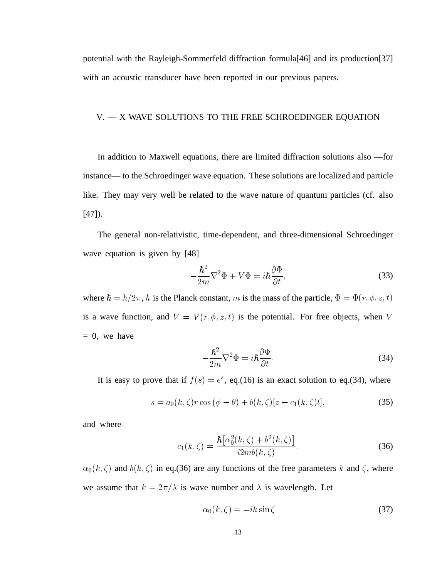potential with the Rayleigh-Sommerfeld diffraction formula[46] and its production[37] with an acoustic transducer have been reported in our previous papers.

# V. — X WAVE SOLUTIONS TO THE FREE SCHROEDINGER EQUATION

In addition to Maxwell equations, there are limited diffraction solutions also —for instance— to the Schroedinger wave equation. These solutions are localized and particle like. They may very well be related to the wave nature of quantum particles (cf. also [47]).

The general non-relativistic, time-dependent, and three-dimensional Schroedinger wave equation is given by [48]

$$
-\frac{\hbar^2}{2m}\nabla^2\Phi + V\Phi = i\hbar\frac{\partial\Phi}{\partial t},\qquad(33)
$$

where  $\hbar = h/2\pi$ , h is the Planck constant, m is the mass of the particle,  $\Phi = \Phi(r, \phi, z, t)$ is a wave function, and  $V = V(r, \phi, z, t)$  is the potential. For free objects, when V  $= 0$ , we have

$$
-\frac{\hbar^2}{2m}\nabla^2\Phi = i\hbar\frac{\partial\Phi}{\partial t}.
$$
\n(34)

It is easy to prove that if  $f(s) = e^s$ , eq.(16) is an exact solution to eq.(34), where

$$
s = a_0(k,\zeta)r\cos(\phi-\theta) + b(k,\zeta)[z-c_1(k,\zeta)t],
$$
\n(35)

and where

$$
c_1(k,\zeta) = \frac{\hbar \left[ \alpha_0^2(k,\zeta) + b^2(k,\zeta) \right]}{i2mb(k,\zeta)}.
$$
 (36)

 $\mathbf{v}$  $b(b, \zeta)$  and  $b(k, \zeta)$  in eq.(36) are any functions of the free parameters k and  $\zeta$ , where we assume that  $k = 2\pi/\lambda$  is wave number and  $\lambda$  is wavelength. Let

$$
\alpha_0(k,\zeta) = -ik\sin\zeta \tag{37}
$$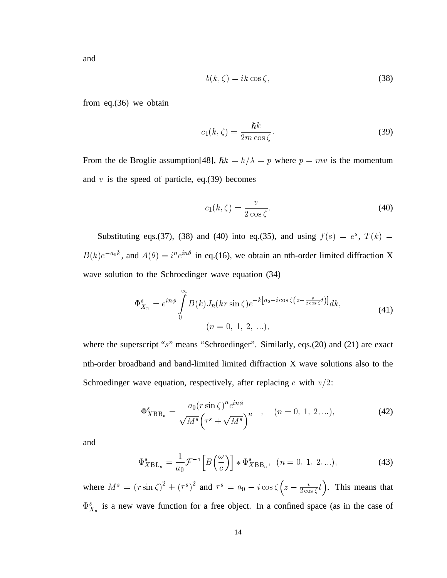and

$$
b(k,\zeta) = ik\cos\zeta,\tag{38}
$$

from eq.(36) we obtain

$$
c_1(k,\zeta) = \frac{\hbar k}{2m\cos\zeta}.\tag{39}
$$

From the de Broglie assumption [48],  $\hbar k = h/\lambda = p$  where  $p = mv$  is the momentum and  $v$  is the speed of particle, eq.(39) becomes

$$
c_1(k,\zeta) = \frac{v}{2\cos\zeta}.\tag{40}
$$

Substituting eqs.(37), (38) and (40) into eq.(35), and using  $f(s) = e^s$ ,  $T(k) =$  $B(k)e^{-a_0k}$ , and  $A(\theta) = i^ne^{in\theta}$  in eq.(16), we obtain an nth-order limited diffraction X wave solution to the Schroedinger wave equation (34)

$$
\Phi_{X_n}^s = e^{in\phi} \int\limits_0^\infty B(k) J_n(kr \sin \zeta) e^{-k[a_0 - i \cos \zeta \left(z - \frac{v}{2 \cos \zeta} t\right)]} dk,
$$
\n
$$
(n = 0, 1, 2, \ldots),
$$
\n(41)

where the superscript "s" means "Schroedinger". Similarly, eqs.(20) and (21) are exact nth-order broadband and band-limited limited diffraction X wave solutions also to the Schroedinger wave equation, respectively, after replacing c with  $v/2$ :

$$
\Phi_{XBB_n}^s = \frac{a_0 (r \sin \zeta)^n e^{in\phi}}{\sqrt{M^s} \left(\tau^s + \sqrt{M^s}\right)^n}, \quad (n = 0, 1, 2, \ldots), \tag{42}
$$

and

$$
\Phi_{XBL_n}^s = \frac{1}{a_0} \mathcal{F}^{-1} \left[ B \left( \frac{\omega}{c} \right) \right] * \Phi_{XBB_n}^s, \quad (n = 0, 1, 2, \ldots), \tag{43}
$$

where  $M^s = (r \sin \zeta)^2 + (\tau^s)^2$  and  $\tau^s = a_0 - i \cos \zeta (z - \frac{v}{2 \cos \zeta} t)$ . This means that  $\Phi_{X_{n}}^{s}$  is a new wave function for a free object. In a confined space (as in the case of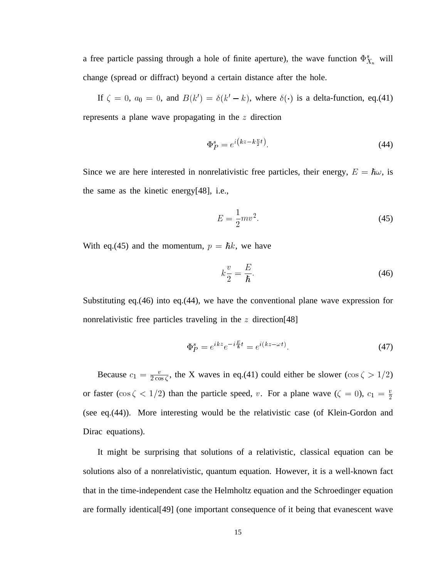a free particle passing through a hole of finite aperture), the wave function  $\Phi_{X_{-}}^s$  will change (spread or diffract) beyond a certain distance after the hole.

If  $\zeta = 0$ ,  $a_0 = 0$ , and  $B(k') = \delta(k'-k)$ , where  $\delta(\cdot)$  is a delta-function, eq.(41) represents a plane wave propagating in the  $z$  direction

$$
\Phi_P^s = e^{i\left(kz - k\frac{v}{2}t\right)}\tag{44}
$$

Since we are here interested in nonrelativistic free particles, their energy,  $E = \hbar \omega$ , is the same as the kinetic energy[48], i.e.,

$$
E = \frac{1}{2}mv^2.
$$
\n<sup>(45)</sup>

With eq.(45) and the momentum,  $p = \hbar k$ , we have

$$
k\frac{v}{2} = \frac{E}{\hbar}.\tag{46}
$$

Substituting eq.(46) into eq.(44), we have the conventional plane wave expression for nonrelativistic free particles traveling in the  $z$  direction[48]

$$
\Phi_P^s = e^{ikz} e^{-i\frac{E}{\hbar}t} = e^{i(kz - \omega t)}.\tag{47}
$$

Because  $c_1 = \frac{v}{2 \cos \zeta}$ , the X waves in eq.(41) could either be slower ( $\cos \zeta > 1/2$ ) or faster (cos  $\zeta$  < 1/2) than the particle speed, v. For a plane wave ( $\zeta = 0$ ),  $c_1 = \frac{v}{2}$ (see eq.(44)). More interesting would be the relativistic case (of Klein-Gordon and Dirac equations).

It might be surprising that solutions of a relativistic, classical equation can be solutions also of a nonrelativistic, quantum equation. However, it is a well-known fact that in the time-independent case the Helmholtz equation and the Schroedinger equation are formally identical[49] (one important consequence of it being that evanescent wave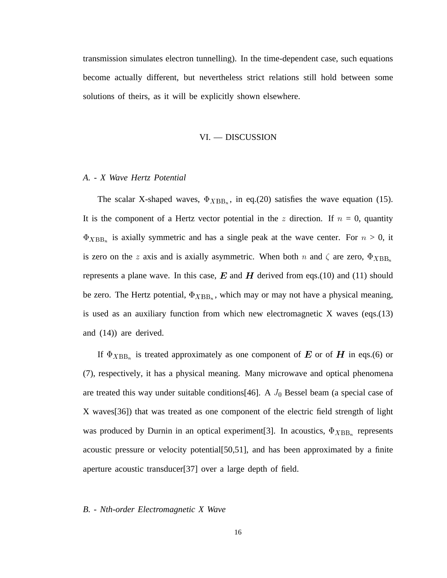transmission simulates electron tunnelling). In the time-dependent case, such equations become actually different, but nevertheless strict relations still hold between some solutions of theirs, as it will be explicitly shown elsewhere.

#### VI. — DISCUSSION

# *A. - X Wave Hertz Potential*

The scalar X-shaped waves,  $\Phi_{XBB_n}$ , in eq.(20) satisfies the wave equation (15). It is the component of a Hertz vector potential in the  $z$  direction. If  $n = 0$ , quantity  $\Phi_{XBB_n}$  is axially symmetric and has a single peak at the wave center. For  $n > 0$ , it is zero on the z axis and is axially asymmetric. When both n and  $\zeta$  are zero,  $\Phi_{XBB_n}$ represents a plane wave. In this case,  $E$  and  $H$  derived from eqs.(10) and (11) should be zero. The Hertz potential,  $\Phi_{XBB_n}$ , which may or may not have a physical meaning, is used as an auxiliary function from which new electromagnetic X waves (eqs.(13) and (14)) are derived.

If  $\Phi_{XBB_n}$  is treated approximately as one component of E or of H in eqs.(6) or (7), respectively, it has a physical meaning. Many microwave and optical phenomena are treated this way under suitable conditions[46]. A  $J_0$  Bessel beam (a special case of X waves[36]) that was treated as one component of the electric field strength of light was produced by Durnin in an optical experiment[3]. In acoustics,  $\Phi_{XBB_n}$  represents acoustic pressure or velocity potential[50,51], and has been approximated by a finite aperture acoustic transducer[37] over a large depth of field.

#### *B. - Nth-order Electromagnetic X Wave*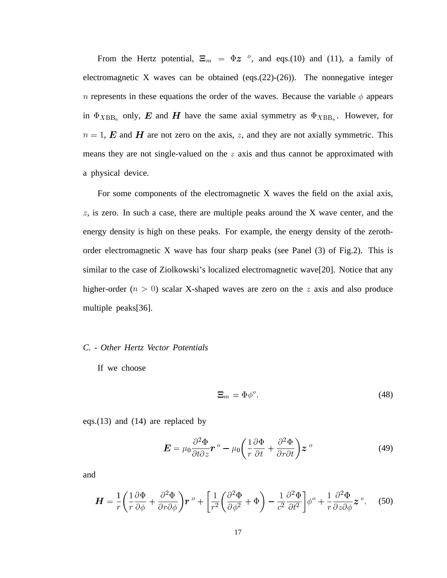From the Hertz potential,  $\Xi_m = \Phi z^o$ , and eqs.(10) and (11), a family of electromagnetic X waves can be obtained (eqs.(22)-(26)). The nonnegative integer *n* represents in these equations the order of the waves. Because the variable  $\phi$  appears in  $\Phi_{XBB_n}$  only, E and H have the same axial symmetry as  $\Phi_{XBB_n}$ . However, for  $n = 1$ , **E** and **H** are not zero on the axis, z, and they are not axially symmetric. This means they are not single-valued on the  $z$  axis and thus cannot be approximated with a physical device.

For some components of the electromagnetic X waves the field on the axial axis,  $z$ , is zero. In such a case, there are multiple peaks around the X wave center, and the energy density is high on these peaks. For example, the energy density of the zerothorder electromagnetic X wave has four sharp peaks (see Panel (3) of Fig.2). This is similar to the case of Ziolkowski's localized electromagnetic wave[20]. Notice that any higher-order ( $n > 0$ ) scalar X-shaped waves are zero on the z axis and also produce multiple peaks[36].

#### *C. - Other Hertz Vector Potentials*

If we choose

$$
\Xi_m = \Phi \phi^o,\tag{48}
$$

eqs.(13) and (14) are replaced by

$$
\boldsymbol{E} = \mu_0 \frac{\partial^2 \Phi}{\partial t \partial z} \boldsymbol{r}^o - \mu_0 \left( \frac{1}{r} \frac{\partial \Phi}{\partial t} + \frac{\partial^2 \Phi}{\partial r \partial t} \right) \boldsymbol{z}^o \tag{49}
$$

and

$$
\boldsymbol{H} = \frac{1}{r} \left( \frac{1}{r} \frac{\partial \Phi}{\partial \phi} + \frac{\partial^2 \Phi}{\partial r \partial \phi} \right) \boldsymbol{r}^o + \left[ \frac{1}{r^2} \left( \frac{\partial^2 \Phi}{\partial \phi^2} + \Phi \right) - \frac{1}{c^2} \frac{\partial^2 \Phi}{\partial t^2} \right] \phi^o + \frac{1}{r} \frac{\partial^2 \Phi}{\partial z \partial \phi} \boldsymbol{z}^o, \quad (50)
$$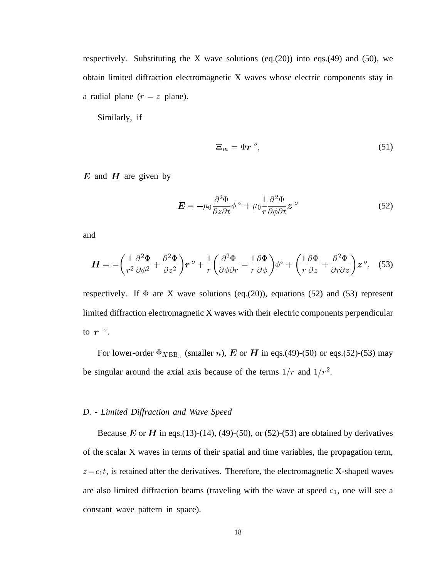respectively. Substituting the X wave solutions  $(eq.(20))$  into eqs.(49) and (50), we obtain limited diffraction electromagnetic X waves whose electric components stay in a radial plane  $(r - z)$  plane).

Similarly, if

$$
\Xi_m = \Phi r^o, \tag{51}
$$

 $E$  and  $H$  are given by

$$
\mathbf{E} = -\mu_0 \frac{\partial^2 \Phi}{\partial z \partial t} \phi^o + \mu_0 \frac{1}{r} \frac{\partial^2 \Phi}{\partial \phi \partial t} \mathbf{z}^o
$$
(52)

and

$$
\boldsymbol{H} = -\left(\frac{1}{r^2}\frac{\partial^2 \Phi}{\partial \phi^2} + \frac{\partial^2 \Phi}{\partial z^2}\right)\boldsymbol{r}^o + \frac{1}{r}\left(\frac{\partial^2 \Phi}{\partial \phi \partial r} - \frac{1}{r}\frac{\partial \Phi}{\partial \phi}\right)\phi^o + \left(\frac{1}{r}\frac{\partial \Phi}{\partial z} + \frac{\partial^2 \Phi}{\partial r \partial z}\right)\boldsymbol{z}^o, \quad (53)
$$

respectively. If  $\Phi$  are X wave solutions (eq.(20)), equations (52) and (53) represent limited diffraction electromagnetic X waves with their electric components perpendicular to  $\bm{r}$   $^o$ .

For lower-order  $\Phi_{XBB_n}$  (smaller *n*), **E** or **H** in eqs.(49)-(50) or eqs.(52)-(53) may be singular around the axial axis because of the terms  $1/r$  and  $1/r<sup>2</sup>$ .

#### *D. - Limited Diffraction and Wave Speed*

Because  $E$  or  $H$  in eqs.(13)-(14), (49)-(50), or (52)-(53) are obtained by derivatives of the scalar X waves in terms of their spatial and time variables, the propagation term,  $z - c_1 t$ , is retained after the derivatives. Therefore, the electromagnetic X-shaped waves are also limited diffraction beams (traveling with the wave at speed  $c_1$ , one will see a constant wave pattern in space).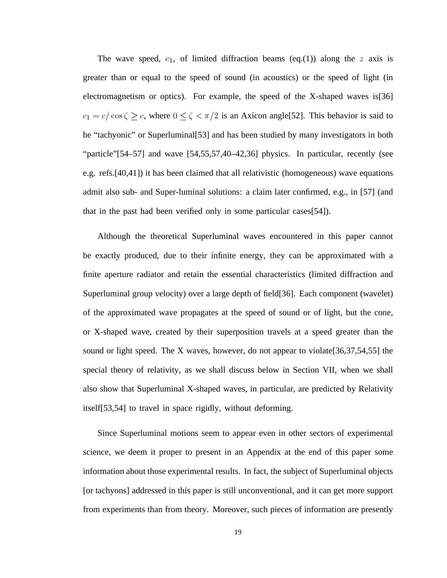The wave speed,  $c_1$ , of limited diffraction beams (eq.(1)) along the z axis is greater than or equal to the speed of sound (in acoustics) or the speed of light (in electromagnetism or optics). For example, the speed of the X-shaped waves is[36]  $c_1 = c/\cos\zeta \geq c$ , where  $0 \leq \zeta < \pi/2$  is an Axicon angle [52]. This behavior is said to be "tachyonic" or Superluminal[53] and has been studied by many investigators in both "particle"[54–57] and wave [54,55,57,40–42,36] physics. In particular, recently (see e.g. refs.[40,41]) it has been claimed that all relativistic (homogeneous) wave equations admit also sub- and Super-luminal solutions: a claim later confirmed, e.g., in [57] (and that in the past had been verified only in some particular cases[54]).

Although the theoretical Superluminal waves encountered in this paper cannot be exactly produced, due to their infinite energy, they can be approximated with a finite aperture radiator and retain the essential characteristics (limited diffraction and Superluminal group velocity) over a large depth of field[36]. Each component (wavelet) of the approximated wave propagates at the speed of sound or of light, but the cone, or X-shaped wave, created by their superposition travels at a speed greater than the sound or light speed. The X waves, however, do not appear to violate[36,37,54,55] the special theory of relativity, as we shall discuss below in Section VII, when we shall also show that Superluminal X-shaped waves, in particular, are predicted by Relativity itself[53,54] to travel in space rigidly, without deforming.

Since Superluminal motions seem to appear even in other sectors of experimental science, we deem it proper to present in an Appendix at the end of this paper some information about those experimental results. In fact, the subject of Superluminal objects [or tachyons] addressed in this paper is still unconventional, and it can get more support from experiments than from theory. Moreover, such pieces of information are presently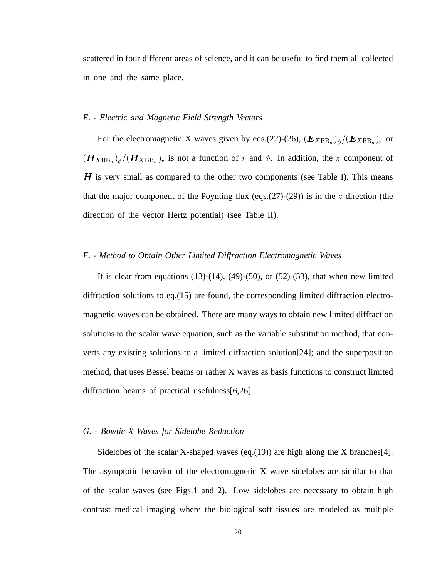scattered in four different areas of science, and it can be useful to find them all collected in one and the same place.

#### *E. - Electric and Magnetic Field Strength Vectors*

For the electromagnetic X waves given by eqs.(22)-(26),  $(E_{XBB_n})$ <sub>o</sub> $/(E_{XBB_n})_r$  or  $(H_{XBB_n})_{\phi}/(H_{XBB_n})_r$  is not a function of r and  $\phi$ . In addition, the z component of  $H$  is very small as compared to the other two components (see Table I). This means that the major component of the Poynting flux (eqs.(27)-(29)) is in the z direction (the direction of the vector Hertz potential) (see Table II).

#### *F. - Method to Obtain Other Limited Diffraction Electromagnetic Waves*

It is clear from equations  $(13)-(14)$ ,  $(49)-(50)$ , or  $(52)-(53)$ , that when new limited diffraction solutions to eq.(15) are found, the corresponding limited diffraction electromagnetic waves can be obtained. There are many ways to obtain new limited diffraction solutions to the scalar wave equation, such as the variable substitution method, that converts any existing solutions to a limited diffraction solution[24]; and the superposition method, that uses Bessel beams or rather X waves as basis functions to construct limited diffraction beams of practical usefulness[6,26].

# *G. - Bowtie X Waves for Sidelobe Reduction*

Sidelobes of the scalar X-shaped waves (eq.(19)) are high along the X branches [4]. The asymptotic behavior of the electromagnetic X wave sidelobes are similar to that of the scalar waves (see Figs.1 and 2). Low sidelobes are necessary to obtain high contrast medical imaging where the biological soft tissues are modeled as multiple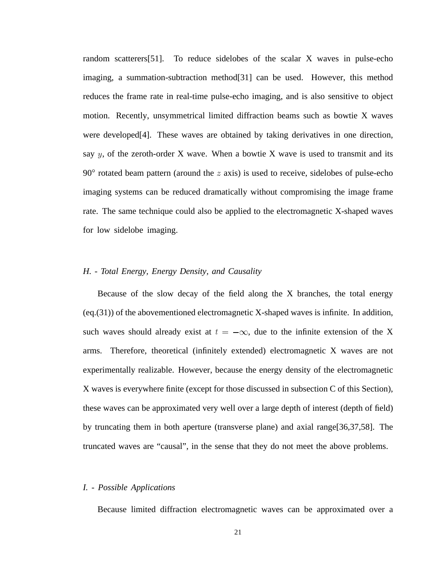random scatterers[51]. To reduce sidelobes of the scalar X waves in pulse-echo imaging, a summation-subtraction method[31] can be used. However, this method reduces the frame rate in real-time pulse-echo imaging, and is also sensitive to object motion. Recently, unsymmetrical limited diffraction beams such as bowtie X waves were developed[4]. These waves are obtained by taking derivatives in one direction, say  $y$ , of the zeroth-order X wave. When a bowtie X wave is used to transmit and its  $90^{\circ}$  rotated beam pattern (around the  $z$  axis) is used to receive, sidelobes of pulse-echo imaging systems can be reduced dramatically without compromising the image frame rate. The same technique could also be applied to the electromagnetic X-shaped waves for low sidelobe imaging.

#### *H. - Total Energy, Energy Density, and Causality*

Because of the slow decay of the field along the X branches, the total energy (eq.(31)) of the abovementioned electromagnetic X-shaped waves is infinite. In addition, such waves should already exist at  $t = -\infty$ , due to the infinite extension of the X arms. Therefore, theoretical (infinitely extended) electromagnetic X waves are not experimentally realizable. However, because the energy density of the electromagnetic X waves is everywhere finite (except for those discussed in subsection C of this Section), these waves can be approximated very well over a large depth of interest (depth of field) by truncating them in both aperture (transverse plane) and axial range[36,37,58]. The truncated waves are "causal", in the sense that they do not meet the above problems.

# *I. - Possible Applications*

Because limited diffraction electromagnetic waves can be approximated over a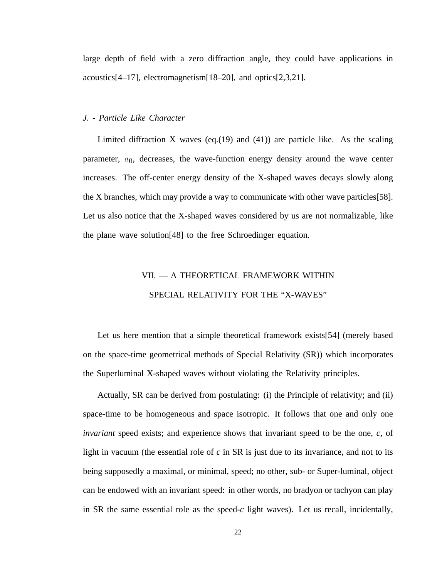large depth of field with a zero diffraction angle, they could have applications in acoustics[4–17], electromagnetism[18–20], and optics[2,3,21].

# *J. - Particle Like Character*

Limited diffraction X waves (eq.(19) and (41)) are particle like. As the scaling parameter,  $a_0$ , decreases, the wave-function energy density around the wave center increases. The off-center energy density of the X-shaped waves decays slowly along the X branches, which may provide a way to communicate with other wave particles[58]. Let us also notice that the X-shaped waves considered by us are not normalizable, like the plane wave solution[48] to the free Schroedinger equation.

# VII. — A THEORETICAL FRAMEWORK WITHIN SPECIAL RELATIVITY FOR THE "X-WAVES"

Let us here mention that a simple theoretical framework exists[54] (merely based on the space-time geometrical methods of Special Relativity (SR)) which incorporates the Superluminal X-shaped waves without violating the Relativity principles.

Actually, SR can be derived from postulating: (i) the Principle of relativity; and (ii) space-time to be homogeneous and space isotropic. It follows that one and only one *invariant* speed exists; and experience shows that invariant speed to be the one, *c,* of light in vacuum (the essential role of *c* in SR is just due to its invariance, and not to its being supposedly a maximal, or minimal, speed; no other, sub- or Super-luminal, object can be endowed with an invariant speed: in other words, no bradyon or tachyon can play in SR the same essential role as the speed-*c* light waves). Let us recall, incidentally,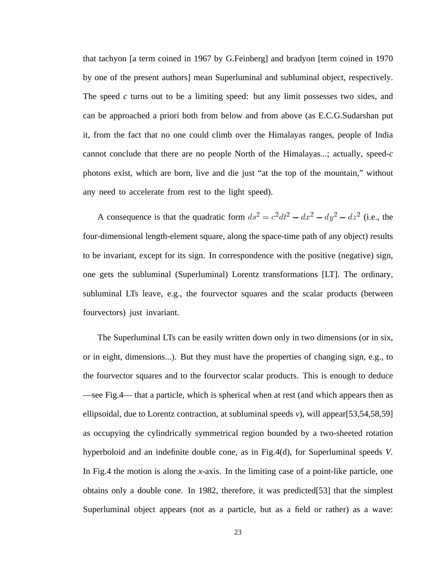that tachyon [a term coined in 1967 by G.Feinberg] and bradyon [term coined in 1970 by one of the present authors] mean Superluminal and subluminal object, respectively. The speed *c* turns out to be a limiting speed: but any limit possesses two sides, and can be approached a priori both from below and from above (as E.C.G.Sudarshan put it, from the fact that no one could climb over the Himalayas ranges, people of India cannot conclude that there are no people North of the Himalayas...; actually, speed-*c* photons exist, which are born, live and die just "at the top of the mountain," without any need to accelerate from rest to the light speed).

A consequence is that the quadratic form  $ds^2 = c^2 dt^2 - dx^2 - dy^2 - dz^2$  (i.e., the four-dimensional length-element square, along the space-time path of any object) results to be invariant, except for its sign. In correspondence with the positive (negative) sign, one gets the subluminal (Superluminal) Lorentz transformations [LT]. The ordinary, subluminal LTs leave, e.g., the fourvector squares and the scalar products (between fourvectors) just invariant.

The Superluminal LTs can be easily written down only in two dimensions (or in six, or in eight, dimensions...). But they must have the properties of changing sign, e.g., to the fourvector squares and to the fourvector scalar products. This is enough to deduce —see Fig.4— that a particle, which is spherical when at rest (and which appears then as ellipsoidal, due to Lorentz contraction, at subluminal speeds *v*), will appear[53,54,58,59] as occupying the cylindrically symmetrical region bounded by a two-sheeted rotation hyperboloid and an indefinite double cone, as in Fig.4(d), for Superluminal speeds *V.* In Fig.4 the motion is along the *x*-axis. In the limiting case of a point-like particle, one obtains only a double cone. In 1982, therefore, it was predicted[53] that the simplest Superluminal object appears (not as a particle, but as a field or rather) as a wave: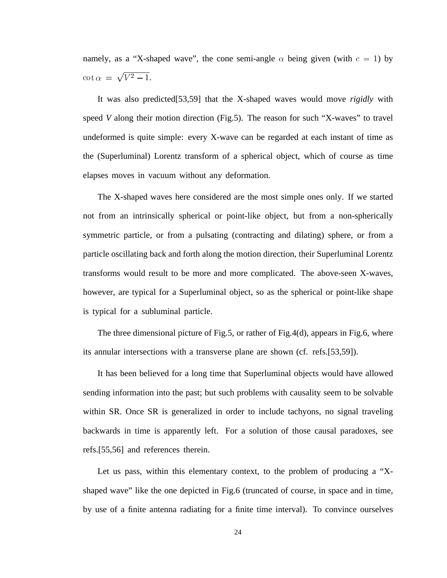namely, as a "X-shaped wave", the cone semi-angle  $\alpha$  being given (with  $c = 1$ ) by  $\cot \alpha = \sqrt{V^2 - 1}.$ 

It was also predicted[53,59] that the X-shaped waves would move *rigidly* with speed *V* along their motion direction (Fig.5). The reason for such "X-waves" to travel undeformed is quite simple: every X-wave can be regarded at each instant of time as the (Superluminal) Lorentz transform of a spherical object, which of course as time elapses moves in vacuum without any deformation.

The X-shaped waves here considered are the most simple ones only. If we started not from an intrinsically spherical or point-like object, but from a non-spherically symmetric particle, or from a pulsating (contracting and dilating) sphere, or from a particle oscillating back and forth along the motion direction, their Superluminal Lorentz transforms would result to be more and more complicated. The above-seen X-waves, however, are typical for a Superluminal object, so as the spherical or point-like shape is typical for a subluminal particle.

The three dimensional picture of Fig.5, or rather of Fig.4(d), appears in Fig.6, where its annular intersections with a transverse plane are shown (cf. refs.[53,59]).

It has been believed for a long time that Superluminal objects would have allowed sending information into the past; but such problems with causality seem to be solvable within SR. Once SR is generalized in order to include tachyons, no signal traveling backwards in time is apparently left. For a solution of those causal paradoxes, see refs.[55,56] and references therein.

Let us pass, within this elementary context, to the problem of producing a "Xshaped wave" like the one depicted in Fig.6 (truncated of course, in space and in time, by use of a finite antenna radiating for a finite time interval). To convince ourselves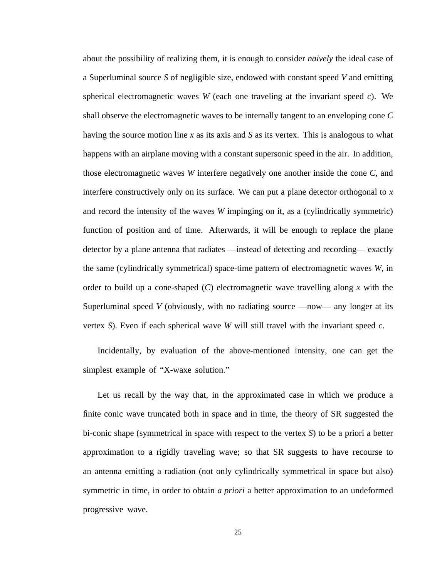about the possibility of realizing them, it is enough to consider *naively* the ideal case of a Superluminal source *S* of negligible size, endowed with constant speed *V* and emitting spherical electromagnetic waves *W* (each one traveling at the invariant speed *c*). We shall observe the electromagnetic waves to be internally tangent to an enveloping cone *C* having the source motion line *x* as its axis and *S* as its vertex. This is analogous to what happens with an airplane moving with a constant supersonic speed in the air. In addition, those electromagnetic waves *W* interfere negatively one another inside the cone *C*, and interfere constructively only on its surface. We can put a plane detector orthogonal to *x* and record the intensity of the waves *W* impinging on it, as a (cylindrically symmetric) function of position and of time. Afterwards, it will be enough to replace the plane detector by a plane antenna that radiates —instead of detecting and recording— exactly the same (cylindrically symmetrical) space-time pattern of electromagnetic waves *W*, in order to build up a cone-shaped (*C*) electromagnetic wave travelling along *x* with the Superluminal speed *V* (obviously, with no radiating source —now— any longer at its vertex *S*). Even if each spherical wave *W* will still travel with the invariant speed *c*.

Incidentally, by evaluation of the above-mentioned intensity, one can get the simplest example of "X-waxe solution."

Let us recall by the way that, in the approximated case in which we produce a finite conic wave truncated both in space and in time, the theory of SR suggested the bi-conic shape (symmetrical in space with respect to the vertex *S*) to be a priori a better approximation to a rigidly traveling wave; so that SR suggests to have recourse to an antenna emitting a radiation (not only cylindrically symmetrical in space but also) symmetric in time, in order to obtain *a priori* a better approximation to an undeformed progressive wave.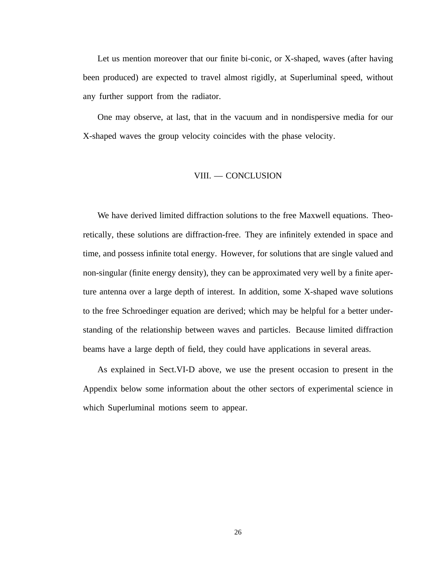Let us mention moreover that our finite bi-conic, or X-shaped, waves (after having been produced) are expected to travel almost rigidly, at Superluminal speed, without any further support from the radiator.

One may observe, at last, that in the vacuum and in nondispersive media for our X-shaped waves the group velocity coincides with the phase velocity.

#### VIII. — CONCLUSION

We have derived limited diffraction solutions to the free Maxwell equations. Theoretically, these solutions are diffraction-free. They are infinitely extended in space and time, and possess infinite total energy. However, for solutions that are single valued and non-singular (finite energy density), they can be approximated very well by a finite aperture antenna over a large depth of interest. In addition, some X-shaped wave solutions to the free Schroedinger equation are derived; which may be helpful for a better understanding of the relationship between waves and particles. Because limited diffraction beams have a large depth of field, they could have applications in several areas.

As explained in Sect.VI-D above, we use the present occasion to present in the Appendix below some information about the other sectors of experimental science in which Superluminal motions seem to appear.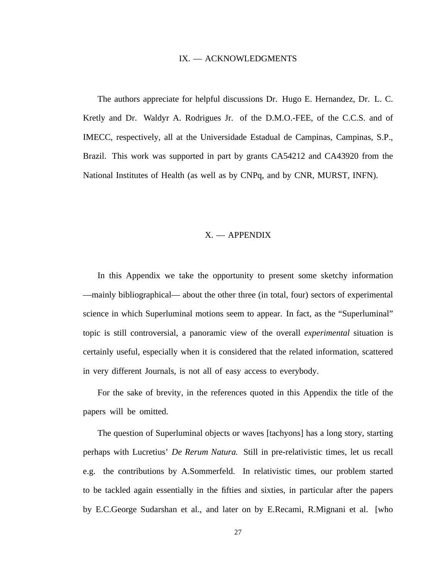#### IX. — ACKNOWLEDGMENTS

The authors appreciate for helpful discussions Dr. Hugo E. Hernandez, Dr. L. C. Kretly and Dr. Waldyr A. Rodrigues Jr. of the D.M.O.-FEE, of the C.C.S. and of IMECC, respectively, all at the Universidade Estadual de Campinas, Campinas, S.P., Brazil. This work was supported in part by grants CA54212 and CA43920 from the National Institutes of Health (as well as by CNPq, and by CNR, MURST, INFN).

# X. — APPENDIX

In this Appendix we take the opportunity to present some sketchy information —mainly bibliographical— about the other three (in total, four) sectors of experimental science in which Superluminal motions seem to appear. In fact, as the "Superluminal" topic is still controversial, a panoramic view of the overall *experimental* situation is certainly useful, especially when it is considered that the related information, scattered in very different Journals, is not all of easy access to everybody.

For the sake of brevity, in the references quoted in this Appendix the title of the papers will be omitted.

The question of Superluminal objects or waves [tachyons] has a long story, starting perhaps with Lucretius' *De Rerum Natura.* Still in pre-relativistic times, let us recall e.g. the contributions by A.Sommerfeld. In relativistic times, our problem started to be tackled again essentially in the fifties and sixties, in particular after the papers by E.C.George Sudarshan et al., and later on by E.Recami, R.Mignani et al. [who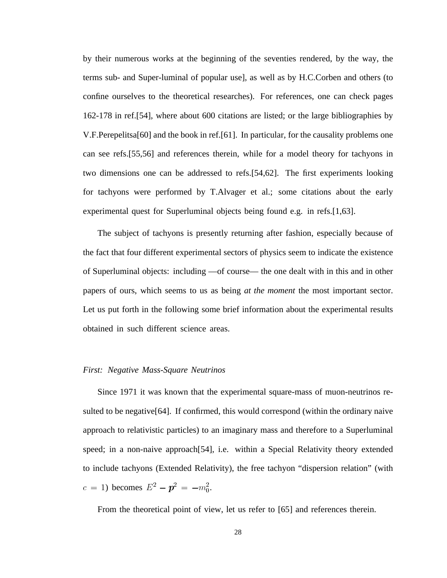by their numerous works at the beginning of the seventies rendered, by the way, the terms sub- and Super-luminal of popular use], as well as by H.C.Corben and others (to confine ourselves to the theoretical researches). For references, one can check pages 162-178 in ref.[54], where about 600 citations are listed; or the large bibliographies by V.F.Perepelitsa[60] and the book in ref.[61]. In particular, for the causality problems one can see refs.[55,56] and references therein, while for a model theory for tachyons in two dimensions one can be addressed to refs.[54,62]. The first experiments looking for tachyons were performed by T.Alvager et al.; some citations about the early experimental quest for Superluminal objects being found e.g. in refs.[1,63].

The subject of tachyons is presently returning after fashion, especially because of the fact that four different experimental sectors of physics seem to indicate the existence of Superluminal objects: including —of course— the one dealt with in this and in other papers of ours, which seems to us as being *at the moment* the most important sector. Let us put forth in the following some brief information about the experimental results obtained in such different science areas.

#### *First: Negative Mass-Square Neutrinos*

Since 1971 it was known that the experimental square-mass of muon-neutrinos resulted to be negative[64]. If confirmed, this would correspond (within the ordinary naive approach to relativistic particles) to an imaginary mass and therefore to a Superluminal speed; in a non-naive approach[54], i.e. within a Special Relativity theory extended to include tachyons (Extended Relativity), the free tachyon "dispersion relation" (with  $c = 1$ ) becomes  $E^2 - p^2 = -m_0^2$ .

From the theoretical point of view, let us refer to [65] and references therein.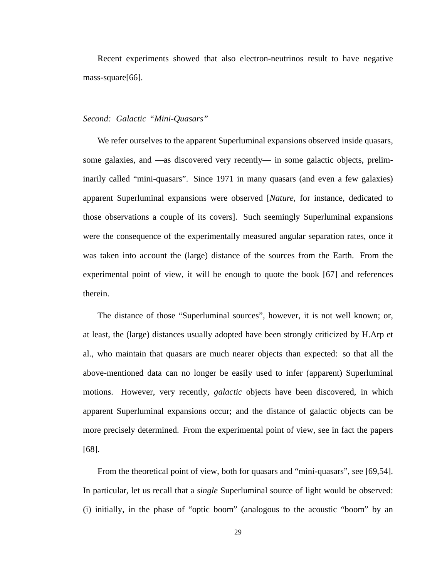Recent experiments showed that also electron-neutrinos result to have negative mass-square[66].

#### *Second: Galactic "Mini-Quasars"*

We refer ourselves to the apparent Superluminal expansions observed inside quasars, some galaxies, and —as discovered very recently— in some galactic objects, preliminarily called "mini-quasars". Since 1971 in many quasars (and even a few galaxies) apparent Superluminal expansions were observed [*Nature,* for instance, dedicated to those observations a couple of its covers]. Such seemingly Superluminal expansions were the consequence of the experimentally measured angular separation rates, once it was taken into account the (large) distance of the sources from the Earth. From the experimental point of view, it will be enough to quote the book [67] and references therein.

The distance of those "Superluminal sources", however, it is not well known; or, at least, the (large) distances usually adopted have been strongly criticized by H.Arp et al., who maintain that quasars are much nearer objects than expected: so that all the above-mentioned data can no longer be easily used to infer (apparent) Superluminal motions. However, very recently, *galactic* objects have been discovered, in which apparent Superluminal expansions occur; and the distance of galactic objects can be more precisely determined. From the experimental point of view, see in fact the papers [68].

From the theoretical point of view, both for quasars and "mini-quasars", see [69,54]. In particular, let us recall that a *single* Superluminal source of light would be observed: (i) initially, in the phase of "optic boom" (analogous to the acoustic "boom" by an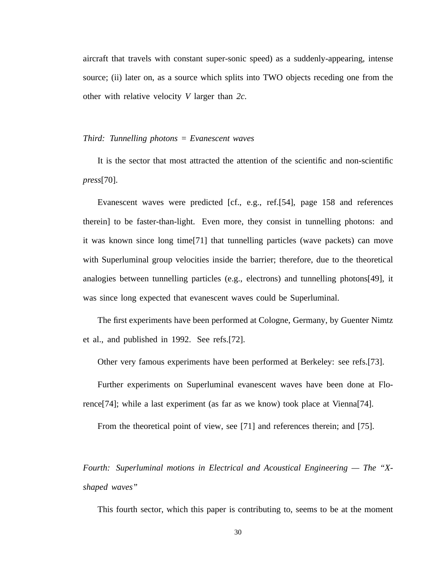aircraft that travels with constant super-sonic speed) as a suddenly-appearing, intense source; (ii) later on, as a source which splits into TWO objects receding one from the other with relative velocity *V* larger than *2c.*

# *Third: Tunnelling photons = Evanescent waves*

It is the sector that most attracted the attention of the scientific and non-scientific *press*[70].

Evanescent waves were predicted [cf., e.g., ref.[54], page 158 and references therein] to be faster-than-light. Even more, they consist in tunnelling photons: and it was known since long time[71] that tunnelling particles (wave packets) can move with Superluminal group velocities inside the barrier; therefore, due to the theoretical analogies between tunnelling particles (e.g., electrons) and tunnelling photons[49], it was since long expected that evanescent waves could be Superluminal.

The first experiments have been performed at Cologne, Germany, by Guenter Nimtz et al., and published in 1992. See refs.[72].

Other very famous experiments have been performed at Berkeley: see refs.[73].

Further experiments on Superluminal evanescent waves have been done at Florence[74]; while a last experiment (as far as we know) took place at Vienna[74].

From the theoretical point of view, see [71] and references therein; and [75].

*Fourth: Superluminal motions in Electrical and Acoustical Engineering — The "Xshaped waves"*

This fourth sector, which this paper is contributing to, seems to be at the moment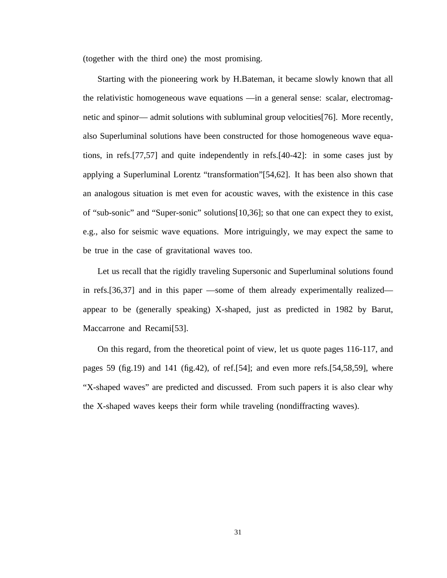(together with the third one) the most promising.

Starting with the pioneering work by H.Bateman, it became slowly known that all the relativistic homogeneous wave equations —in a general sense: scalar, electromagnetic and spinor— admit solutions with subluminal group velocities[76]. More recently, also Superluminal solutions have been constructed for those homogeneous wave equations, in refs.[77,57] and quite independently in refs.[40-42]: in some cases just by applying a Superluminal Lorentz "transformation"[54,62]. It has been also shown that an analogous situation is met even for acoustic waves, with the existence in this case of "sub-sonic" and "Super-sonic" solutions[10,36]; so that one can expect they to exist, e.g., also for seismic wave equations. More intriguingly, we may expect the same to be true in the case of gravitational waves too.

Let us recall that the rigidly traveling Supersonic and Superluminal solutions found in refs.[36,37] and in this paper —some of them already experimentally realized appear to be (generally speaking) X-shaped, just as predicted in 1982 by Barut, Maccarrone and Recami[53].

On this regard, from the theoretical point of view, let us quote pages 116-117, and pages 59 (fig.19) and 141 (fig.42), of ref.[54]; and even more refs.[54,58,59], where "X-shaped waves" are predicted and discussed. From such papers it is also clear why the X-shaped waves keeps their form while traveling (nondiffracting waves).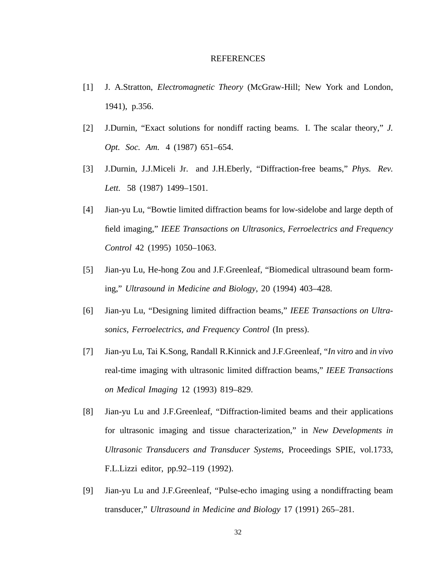#### REFERENCES

- [1] J. A.Stratton, *Electromagnetic Theory* (McGraw-Hill; New York and London, 1941), p.356.
- [2] J.Durnin, "Exact solutions for nondiff racting beams. I. The scalar theory," *J. Opt. Soc. Am.* 4 (1987) 651–654.
- [3] J.Durnin, J.J.Miceli Jr. and J.H.Eberly, "Diffraction-free beams," *Phys. Rev. Lett.* 58 (1987) 1499–1501.
- [4] Jian-yu Lu, "Bowtie limited diffraction beams for low-sidelobe and large depth of field imaging," *IEEE Transactions on Ultrasonics, Ferroelectrics and Frequency Control* 42 (1995) 1050–1063.
- [5] Jian-yu Lu, He-hong Zou and J.F.Greenleaf, "Biomedical ultrasound beam forming," *Ultrasound in Medicine and Biology*, 20 (1994) 403–428.
- [6] Jian-yu Lu, "Designing limited diffraction beams," *IEEE Transactions on Ultrasonics, Ferroelectrics, and Frequency Control* (In press).
- [7] Jian-yu Lu, Tai K.Song, Randall R.Kinnick and J.F.Greenleaf, "*In vitro* and *in vivo* real-time imaging with ultrasonic limited diffraction beams," *IEEE Transactions on Medical Imaging* 12 (1993) 819–829.
- [8] Jian-yu Lu and J.F.Greenleaf, "Diffraction-limited beams and their applications for ultrasonic imaging and tissue characterization," in *New Developments in Ultrasonic Transducers and Transducer Systems,* Proceedings SPIE, vol.1733, F.L.Lizzi editor, pp.92–119 (1992).
- [9] Jian-yu Lu and J.F.Greenleaf, "Pulse-echo imaging using a nondiffracting beam transducer," *Ultrasound in Medicine and Biology* 17 (1991) 265–281.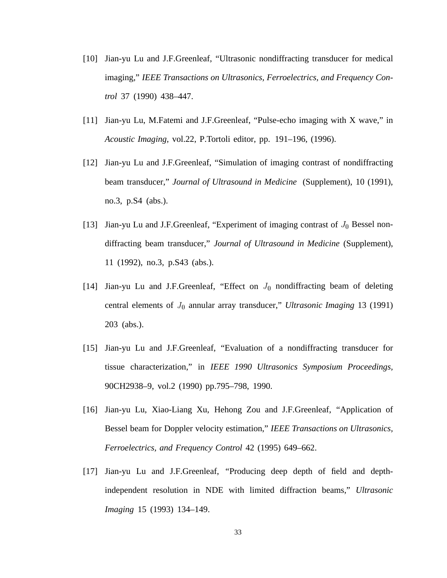- [10] Jian-yu Lu and J.F.Greenleaf, "Ultrasonic nondiffracting transducer for medical imaging," *IEEE Transactions on Ultrasonics, Ferroelectrics, and Frequency Control* 37 (1990) 438–447.
- [11] Jian-yu Lu, M.Fatemi and J.F.Greenleaf, "Pulse-echo imaging with X wave," in *Acoustic Imaging,* vol.22, P.Tortoli editor, pp. 191–196, (1996).
- [12] Jian-yu Lu and J.F.Greenleaf, "Simulation of imaging contrast of nondiffracting beam transducer," *Journal of Ultrasound in Medicine* (Supplement), 10 (1991), no.3, p.S4 (abs.).
- [13] Jian-yu Lu and J.F.Greenleaf, "Experiment of imaging contrast of  $J_0$  Bessel nondiffracting beam transducer," *Journal of Ultrasound in Medicine* (Supplement), 11 (1992), no.3, p.S43 (abs.).
- [14] Jian-yu Lu and J.F.Greenleaf, "Effect on  $J_0$  nondiffracting beam of deleting central elements of  $J_0$  annular array transducer," *Ultrasonic Imaging* 13 (1991) 203 (abs.).
- [15] Jian-yu Lu and J.F.Greenleaf, "Evaluation of a nondiffracting transducer for tissue characterization," in *IEEE 1990 Ultrasonics Symposium Proceedings,* 90CH2938–9, vol.2 (1990) pp.795–798, 1990.
- [16] Jian-yu Lu, Xiao-Liang Xu, Hehong Zou and J.F.Greenleaf, "Application of Bessel beam for Doppler velocity estimation," *IEEE Transactions on Ultrasonics, Ferroelectrics, and Frequency Control* 42 (1995) 649–662.
- [17] Jian-yu Lu and J.F.Greenleaf, "Producing deep depth of field and depthindependent resolution in NDE with limited diffraction beams," *Ultrasonic Imaging* 15 (1993) 134–149.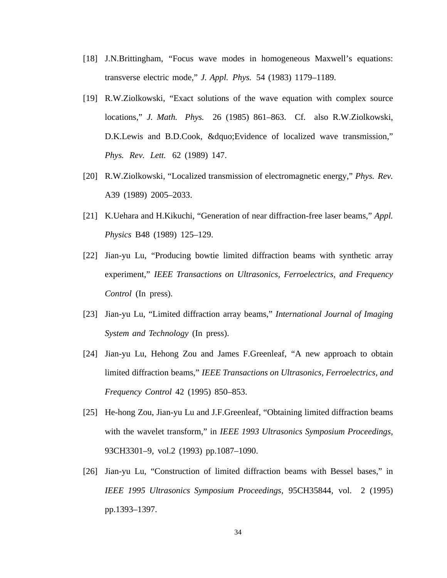- [18] J.N.Brittingham, "Focus wave modes in homogeneous Maxwell's equations: transverse electric mode," *J. Appl. Phys.* 54 (1983) 1179–1189.
- [19] R.W.Ziolkowski, "Exact solutions of the wave equation with complex source locations," *J. Math. Phys.* 26 (1985) 861–863. Cf. also R.W.Ziolkowski, D.K.Lewis and B.D.Cook, &dquo;Evidence of localized wave transmission," *Phys. Rev. Lett.* 62 (1989) 147.
- [20] R.W.Ziolkowski, "Localized transmission of electromagnetic energy," *Phys. Rev.* A39 (1989) 2005–2033.
- [21] K.Uehara and H.Kikuchi, "Generation of near diffraction-free laser beams," *Appl. Physics* B48 (1989) 125–129.
- [22] Jian-yu Lu, "Producing bowtie limited diffraction beams with synthetic array experiment," *IEEE Transactions on Ultrasonics, Ferroelectrics, and Frequency Control* (In press).
- [23] Jian-yu Lu, "Limited diffraction array beams," *International Journal of Imaging System and Technology* (In press).
- [24] Jian-yu Lu, Hehong Zou and James F.Greenleaf, "A new approach to obtain limited diffraction beams," *IEEE Transactions on Ultrasonics, Ferroelectrics, and Frequency Control* 42 (1995) 850–853.
- [25] He-hong Zou, Jian-yu Lu and J.F.Greenleaf, "Obtaining limited diffraction beams with the wavelet transform," in *IEEE 1993 Ultrasonics Symposium Proceedings,* 93CH3301–9, vol.2 (1993) pp.1087–1090.
- [26] Jian-yu Lu, "Construction of limited diffraction beams with Bessel bases," in *IEEE 1995 Ultrasonics Symposium Proceedings,* 95CH35844, vol. 2 (1995) pp.1393–1397.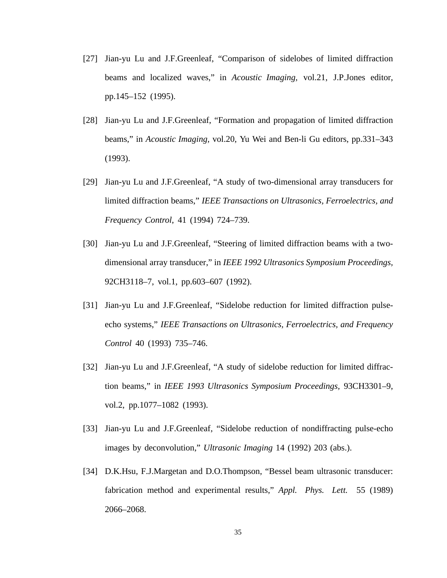- [27] Jian-yu Lu and J.F.Greenleaf, "Comparison of sidelobes of limited diffraction beams and localized waves," in *Acoustic Imaging,* vol.21, J.P.Jones editor, pp.145–152 (1995).
- [28] Jian-yu Lu and J.F.Greenleaf, "Formation and propagation of limited diffraction beams," in *Acoustic Imaging,* vol.20, Yu Wei and Ben-li Gu editors, pp.331–343 (1993).
- [29] Jian-yu Lu and J.F.Greenleaf, "A study of two-dimensional array transducers for limited diffraction beams," *IEEE Transactions on Ultrasonics, Ferroelectrics, and Frequency Control*, 41 (1994) 724–739.
- [30] Jian-yu Lu and J.F.Greenleaf, "Steering of limited diffraction beams with a twodimensional array transducer," in *IEEE 1992 Ultrasonics Symposium Proceedings,* 92CH3118–7, vol.1, pp.603–607 (1992).
- [31] Jian-yu Lu and J.F.Greenleaf, "Sidelobe reduction for limited diffraction pulseecho systems," *IEEE Transactions on Ultrasonics, Ferroelectrics, and Frequency Control* 40 (1993) 735–746.
- [32] Jian-yu Lu and J.F.Greenleaf, "A study of sidelobe reduction for limited diffraction beams," in *IEEE 1993 Ultrasonics Symposium Proceedings,* 93CH3301–9, vol.2, pp.1077–1082 (1993).
- [33] Jian-yu Lu and J.F.Greenleaf, "Sidelobe reduction of nondiffracting pulse-echo images by deconvolution," *Ultrasonic Imaging* 14 (1992) 203 (abs.).
- [34] D.K.Hsu, F.J.Margetan and D.O.Thompson, "Bessel beam ultrasonic transducer: fabrication method and experimental results," *Appl. Phys. Lett.* 55 (1989) 2066–2068.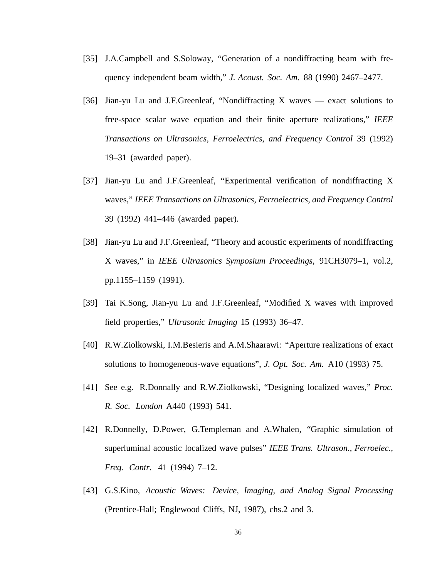- [35] J.A.Campbell and S.Soloway, "Generation of a nondiffracting beam with frequency independent beam width," *J. Acoust. Soc. Am.* 88 (1990) 2467–2477.
- [36] Jian-yu Lu and J.F.Greenleaf, "Nondiffracting X waves exact solutions to free-space scalar wave equation and their finite aperture realizations," *IEEE Transactions on Ultrasonics, Ferroelectrics, and Frequency Control* 39 (1992) 19–31 (awarded paper).
- [37] Jian-yu Lu and J.F.Greenleaf, "Experimental verification of nondiffracting X waves," *IEEE Transactions on Ultrasonics, Ferroelectrics, and Frequency Control* 39 (1992) 441–446 (awarded paper).
- [38] Jian-yu Lu and J.F.Greenleaf, "Theory and acoustic experiments of nondiffracting X waves," in *IEEE Ultrasonics Symposium Proceedings,* 91CH3079–1, vol.2, pp.1155–1159 (1991).
- [39] Tai K.Song, Jian-yu Lu and J.F.Greenleaf, "Modified X waves with improved field properties," *Ultrasonic Imaging* 15 (1993) 36–47.
- [40] R.W.Ziolkowski, I.M.Besieris and A.M.Shaarawi: "Aperture realizations of exact solutions to homogeneous-wave equations", *J. Opt. Soc. Am.* A10 (1993) 75.
- [41] See e.g. R.Donnally and R.W.Ziolkowski, "Designing localized waves," *Proc. R. Soc. London* A440 (1993) 541.
- [42] R.Donnelly, D.Power, G.Templeman and A.Whalen, "Graphic simulation of superluminal acoustic localized wave pulses" *IEEE Trans. Ultrason., Ferroelec., Freq. Contr.* 41 (1994) 7–12.
- [43] G.S.Kino, *Acoustic Waves: Device, Imaging, and Analog Signal Processing* (Prentice-Hall; Englewood Cliffs, NJ, 1987), chs.2 and 3.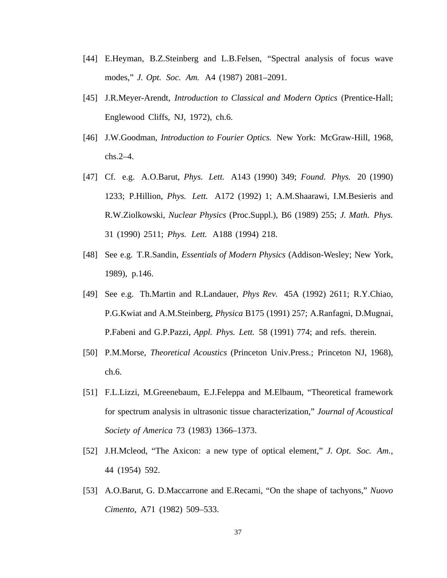- [44] E.Heyman, B.Z.Steinberg and L.B.Felsen, "Spectral analysis of focus wave modes," *J. Opt. Soc. Am.* A4 (1987) 2081–2091.
- [45] J.R.Meyer-Arendt, *Introduction to Classical and Modern Optics* (Prentice-Hall; Englewood Cliffs, NJ, 1972), ch.6.
- [46] J.W.Goodman, *Introduction to Fourier Optics.* New York: McGraw-Hill, 1968, chs.2–4.
- [47] Cf. e.g. A.O.Barut, *Phys. Lett.* A143 (1990) 349; *Found. Phys.* 20 (1990) 1233; P.Hillion, *Phys. Lett.* A172 (1992) 1; A.M.Shaarawi, I.M.Besieris and R.W.Ziolkowski, *Nuclear Physics* (Proc.Suppl.), B6 (1989) 255; *J. Math. Phys.* 31 (1990) 2511; *Phys. Lett.* A188 (1994) 218.
- [48] See e.g. T.R.Sandin, *Essentials of Modern Physics* (Addison-Wesley; New York, 1989), p.146.
- [49] See e.g. Th.Martin and R.Landauer, *Phys Rev.* 45A (1992) 2611; R.Y.Chiao, P.G.Kwiat and A.M.Steinberg, *Physica* B175 (1991) 257; A.Ranfagni, D.Mugnai, P.Fabeni and G.P.Pazzi, *Appl. Phys. Lett.* 58 (1991) 774; and refs. therein.
- [50] P.M.Morse, *Theoretical Acoustics* (Princeton Univ.Press.; Princeton NJ, 1968), ch.6.
- [51] F.L.Lizzi, M.Greenebaum, E.J.Feleppa and M.Elbaum, "Theoretical framework for spectrum analysis in ultrasonic tissue characterization," *Journal of Acoustical Society of America* 73 (1983) 1366–1373.
- [52] J.H.Mcleod, "The Axicon: a new type of optical element," *J. Opt. Soc. Am.*, 44 (1954) 592.
- [53] A.O.Barut, G. D.Maccarrone and E.Recami, "On the shape of tachyons," *Nuovo Cimento*, A71 (1982) 509–533.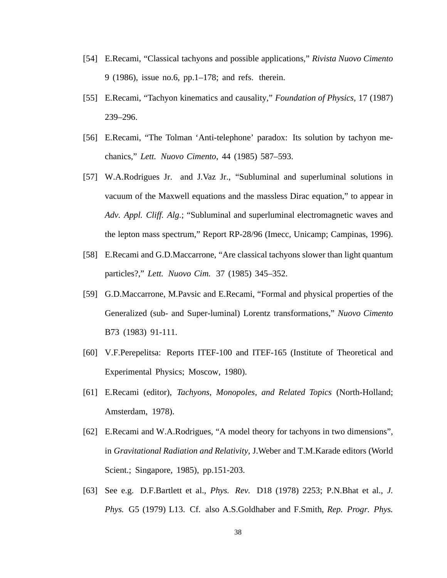- [54] E.Recami, "Classical tachyons and possible applications," *Rivista Nuovo Cimento* 9 (1986), issue no.6, pp.1–178; and refs. therein.
- [55] E.Recami, "Tachyon kinematics and causality," *Foundation of Physics*, 17 (1987) 239–296.
- [56] E.Recami, "The Tolman 'Anti-telephone' paradox: Its solution by tachyon mechanics," *Lett. Nuovo Cimento*, 44 (1985) 587–593.
- [57] W.A.Rodrigues Jr. and J.Vaz Jr., "Subluminal and superluminal solutions in vacuum of the Maxwell equations and the massless Dirac equation," to appear in *Adv. Appl. Cliff. Alg.*; "Subluminal and superluminal electromagnetic waves and the lepton mass spectrum," Report RP-28/96 (Imecc, Unicamp; Campinas, 1996).
- [58] E.Recami and G.D.Maccarrone, "Are classical tachyons slower than light quantum particles?," *Lett. Nuovo Cim.* 37 (1985) 345–352.
- [59] G.D.Maccarrone, M.Pavsic and E.Recami, "Formal and physical properties of the Generalized (sub- and Super-luminal) Lorentz transformations," *Nuovo Cimento* B73 (1983) 91-111.
- [60] V.F.Perepelitsa: Reports ITEF-100 and ITEF-165 (Institute of Theoretical and Experimental Physics; Moscow, 1980).
- [61] E.Recami (editor), *Tachyons, Monopoles, and Related Topics* (North-Holland; Amsterdam, 1978).
- [62] E.Recami and W.A.Rodrigues, "A model theory for tachyons in two dimensions", in *Gravitational Radiation and Relativity,* J.Weber and T.M.Karade editors (World Scient.; Singapore, 1985), pp.151-203.
- [63] See e.g. D.F.Bartlett et al., *Phys. Rev.* D18 (1978) 2253; P.N.Bhat et al., *J. Phys.* G5 (1979) L13. Cf. also A.S.Goldhaber and F.Smith, *Rep. Progr. Phys.*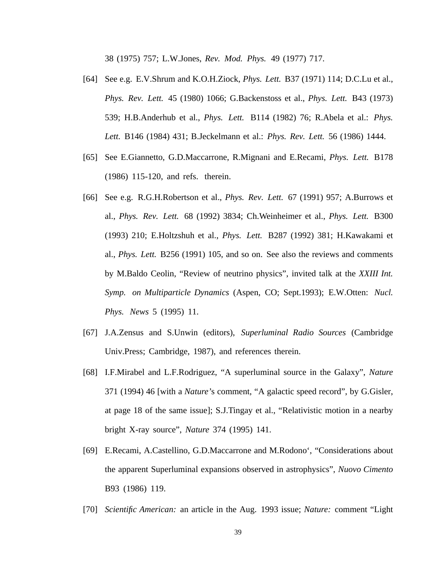38 (1975) 757; L.W.Jones, *Rev. Mod. Phys.* 49 (1977) 717.

- [64] See e.g. E.V.Shrum and K.O.H.Ziock, *Phys. Lett.* B37 (1971) 114; D.C.Lu et al., *Phys. Rev. Lett.* 45 (1980) 1066; G.Backenstoss et al., *Phys. Lett.* B43 (1973) 539; H.B.Anderhub et al., *Phys. Lett.* B114 (1982) 76; R.Abela et al.: *Phys. Lett.* B146 (1984) 431; B.Jeckelmann et al.: *Phys. Rev. Lett.* 56 (1986) 1444.
- [65] See E.Giannetto, G.D.Maccarrone, R.Mignani and E.Recami, *Phys. Lett.* B178 (1986) 115-120, and refs. therein.
- [66] See e.g. R.G.H.Robertson et al., *Phys. Rev. Lett.* 67 (1991) 957; A.Burrows et al., *Phys. Rev. Lett.* 68 (1992) 3834; Ch.Weinheimer et al., *Phys. Lett.* B300 (1993) 210; E.Holtzshuh et al., *Phys. Lett.* B287 (1992) 381; H.Kawakami et al., *Phys. Lett.* B256 (1991) 105, and so on. See also the reviews and comments by M.Baldo Ceolin, "Review of neutrino physics", invited talk at the *XXIII Int. Symp. on Multiparticle Dynamics* (Aspen, CO; Sept.1993); E.W.Otten: *Nucl. Phys. News* 5 (1995) 11.
- [67] J.A.Zensus and S.Unwin (editors), *Superluminal Radio Sources* (Cambridge Univ.Press; Cambridge, 1987), and references therein.
- [68] I.F.Mirabel and L.F.Rodriguez, "A superluminal source in the Galaxy", *Nature* 371 (1994) 46 [with a *Nature'*s comment, "A galactic speed record", by G.Gisler, at page 18 of the same issue]; S.J.Tingay et al., "Relativistic motion in a nearby bright X-ray source", *Nature* 374 (1995) 141.
- [69] E.Recami, A.Castellino, G.D.Maccarrone and M.Rodono', "Considerations about the apparent Superluminal expansions observed in astrophysics", *Nuovo Cimento* B93 (1986) 119.
- [70] *Scientific American:* an article in the Aug. 1993 issue; *Nature:* comment "Light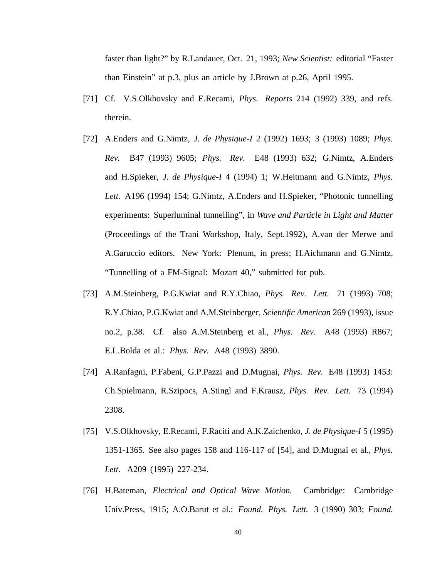faster than light?" by R.Landauer, Oct. 21, 1993; *New Scientist:* editorial "Faster than Einstein" at p.3, plus an article by J.Brown at p.26, April 1995.

- [71] Cf. V.S.Olkhovsky and E.Recami, *Phys. Reports* 214 (1992) 339, and refs. therein.
- [72] A.Enders and G.Nimtz, *J. de Physique-I* 2 (1992) 1693; 3 (1993) 1089; *Phys. Rev.* B47 (1993) 9605; *Phys. Rev.* E48 (1993) 632; G.Nimtz, A.Enders and H.Spieker, *J. de Physique-I* 4 (1994) 1; W.Heitmann and G.Nimtz, *Phys. Lett.* A196 (1994) 154; G.Nimtz, A.Enders and H.Spieker, "Photonic tunnelling experiments: Superluminal tunnelling", in *Wave and Particle in Light and Matter* (Proceedings of the Trani Workshop, Italy, Sept.1992), A.van der Merwe and A.Garuccio editors. New York: Plenum, in press; H.Aichmann and G.Nimtz, "Tunnelling of a FM-Signal: Mozart 40," submitted for pub.
- [73] A.M.Steinberg, P.G.Kwiat and R.Y.Chiao, *Phys. Rev. Lett.* 71 (1993) 708; R.Y.Chiao, P.G.Kwiat and A.M.Steinberger, *Scientific American* 269 (1993), issue no.2, p.38. Cf. also A.M.Steinberg et al., *Phys. Rev.* A48 (1993) R867; E.L.Bolda et al.: *Phys. Rev.* A48 (1993) 3890.
- [74] A.Ranfagni, P.Fabeni, G.P.Pazzi and D.Mugnai, *Phys. Rev.* E48 (1993) 1453: Ch.Spielmann, R.Szipocs, A.Stingl and F.Krausz, *Phys. Rev. Lett.* 73 (1994) 2308.
- [75] V.S.Olkhovsky, E.Recami, F.Raciti and A.K.Zaichenko, *J. de Physique-I* 5 (1995) 1351-1365. See also pages 158 and 116-117 of [54], and D.Mugnai et al., *Phys. Lett.* A209 (1995) 227-234.
- [76] H.Bateman, *Electrical and Optical Wave Motion.* Cambridge: Cambridge Univ.Press, 1915; A.O.Barut et al.: *Found. Phys. Lett.* 3 (1990) 303; *Found.*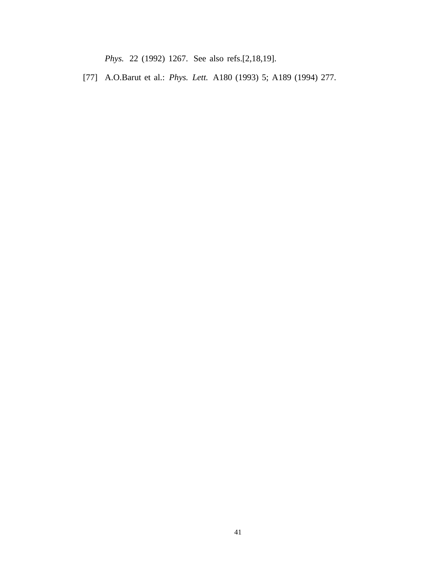*Phys.* 22 (1992) 1267. See also refs.[2,18,19].

[77] A.O.Barut et al.: *Phys. Lett.* A180 (1993) 5; A189 (1994) 277.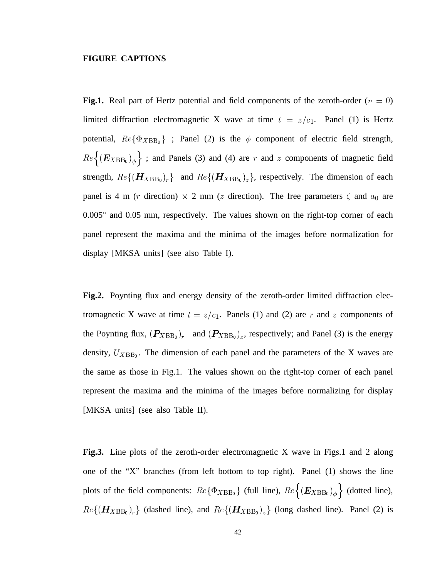#### **FIGURE CAPTIONS**

**Fig.1.** Real part of Hertz potential and field components of the zeroth-order  $(n = 0)$ limited diffraction electromagnetic X wave at time  $t = z/c_1$ . Panel (1) is Hertz potential,  $Re\{\Phi_{XBB_0}\}$  ; Panel (2) is the  $\phi$  component of electric field strength,  $Re\left\{(\mathbf{E}_{XBB_0})_{\phi}\right\}$ ; and Panels (3) and (4) are  $r$  and  $z$  components of magnetic field strength,  $Re\{(H_{XBB_0})_r\}$  and  $Re\{(H_{XBB_0})_z\}$ , respectively. The dimension of each panel is 4 m (*r* direction)  $\times$  2 mm (*z* direction). The free parameters  $\zeta$  and  $a_0$  are  $0.005^{\circ}$  and  $0.05$  mm, respectively. The values shown on the right-top corner of each panel represent the maxima and the minima of the images before normalization for display [MKSA units] (see also Table I).

**Fig.2.** Poynting flux and energy density of the zeroth-order limited diffraction electromagnetic X wave at time  $t = z/c_1$ . Panels (1) and (2) are r and z components of the Poynting flux,  $(P_{XBB_0})_r$  and  $(P_{XBB_0})_z$ , respectively; and Panel (3) is the energy density,  $U_{XBB_0}$ . The dimension of each panel and the parameters of the X waves are the same as those in Fig.1. The values shown on the right-top corner of each panel represent the maxima and the minima of the images before normalizing for display [MKSA units] (see also Table II).

**Fig.3.** Line plots of the zeroth-order electromagnetic X wave in Figs.1 and 2 along one of the "X" branches (from left bottom to top right). Panel (1) shows the line plots of the field components:  $Re\{\Phi_{XBB_0}\}\$  (full line),  $Re\left\{E_{XBB_0}\right)_{\phi}\right\}$  (dotted line),  $Re\{(H_{XBB_0})_r\}$  (dashed line), and  $Re\{(H_{XBB_0})_z\}$  (long dashed line). Panel (2) is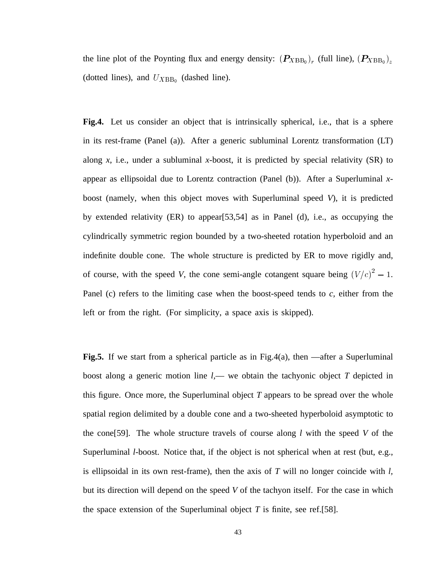the line plot of the Poynting flux and energy density:  $(P_{XBB_0})_r$  (full line),  $(P_{XBB_0})_z$ (dotted lines), and  $U_{XBB_0}$  (dashed line).

**Fig.4.** Let us consider an object that is intrinsically spherical, i.e., that is a sphere in its rest-frame (Panel (a)). After a generic subluminal Lorentz transformation (LT) along  $x$ , i.e., under a subluminal  $x$ -boost, it is predicted by special relativity (SR) to appear as ellipsoidal due to Lorentz contraction (Panel (b)). After a Superluminal *x*boost (namely, when this object moves with Superluminal speed *V*), it is predicted by extended relativity (ER) to appear[53,54] as in Panel (d), i.e., as occupying the cylindrically symmetric region bounded by a two-sheeted rotation hyperboloid and an indefinite double cone. The whole structure is predicted by ER to move rigidly and, of course, with the speed *V*, the cone semi-angle cotangent square being  $(V/c)^2 - 1$ . Panel (c) refers to the limiting case when the boost-speed tends to *c,* either from the left or from the right. (For simplicity, a space axis is skipped).

**Fig.5.** If we start from a spherical particle as in Fig.4(a), then —after a Superluminal boost along a generic motion line *l,*— we obtain the tachyonic object *T* depicted in this figure. Once more, the Superluminal object *T* appears to be spread over the whole spatial region delimited by a double cone and a two-sheeted hyperboloid asymptotic to the cone[59]. The whole structure travels of course along *l* with the speed *V* of the Superluminal *l*-boost. Notice that, if the object is not spherical when at rest (but, e.g., is ellipsoidal in its own rest-frame), then the axis of *T* will no longer coincide with *l,* but its direction will depend on the speed *V* of the tachyon itself. For the case in which the space extension of the Superluminal object  $T$  is finite, see ref.[58].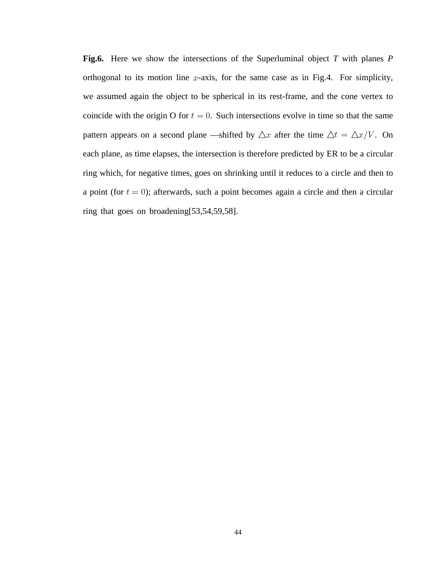**Fig.6.** Here we show the intersections of the Superluminal object *T* with planes *P* orthogonal to its motion line  $x$ -axis, for the same case as in Fig.4. For simplicity, we assumed again the object to be spherical in its rest-frame, and the cone vertex to coincide with the origin O for  $t = 0$ . Such intersections evolve in time so that the same pattern appears on a second plane —shifted by  $\Delta x$  after the time  $\Delta t = \Delta x/V$ . On each plane, as time elapses, the intersection is therefore predicted by ER to be a circular ring which, for negative times, goes on shrinking until it reduces to a circle and then to a point (for  $t = 0$ ); afterwards, such a point becomes again a circle and then a circular ring that goes on broadening[53,54,59,58].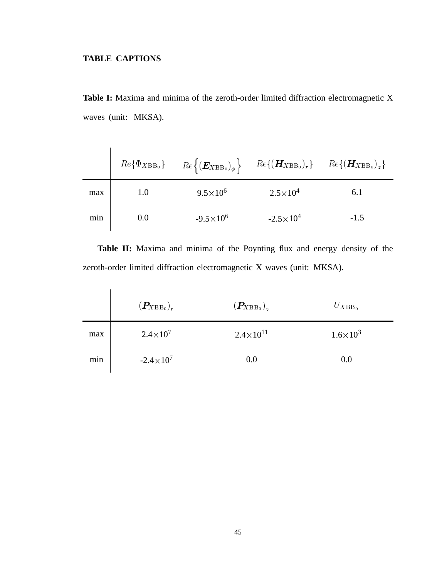# **TABLE CAPTIONS**

**Table I:** Maxima and minima of the zeroth-order limited diffraction electromagnetic X waves (unit: MKSA).

|     |     | $Re\{\Phi_{XBB_0}\}\$ $Re\{(\boldsymbol{E}_{XBB_0})_{\phi}\}$ $Re\{(\boldsymbol{H}_{XBB_0})_{r}\}\$ $Re\{(\boldsymbol{H}_{XBB_0})_{z}\}$ |                     |        |
|-----|-----|------------------------------------------------------------------------------------------------------------------------------------------|---------------------|--------|
| max | 1.0 | $9.5 \times 10^6$                                                                                                                        | $2.5 \times 10^{4}$ | 6.1    |
| min | 0.0 | $-9.5 \times 10^6$                                                                                                                       | $-2.5 \times 10^4$  | $-1.5$ |

**Table II:** Maxima and minima of the Poynting flux and energy density of the zeroth-order limited diffraction electromagnetic X waves (unit: MKSA).

|     | $(\boldsymbol{P_{XBB}}_0)_{r^-}$ | $(\boldsymbol{P_{XBB_0}})_z$ | $U_{XBB_0}$       |
|-----|----------------------------------|------------------------------|-------------------|
| max | $2.4 \times 10^{7}$              | $2.4 \times 10^{11}$         | $1.6 \times 10^3$ |
| min | $-2.4 \times 10^{7}$             | 0.0                          | 0.0               |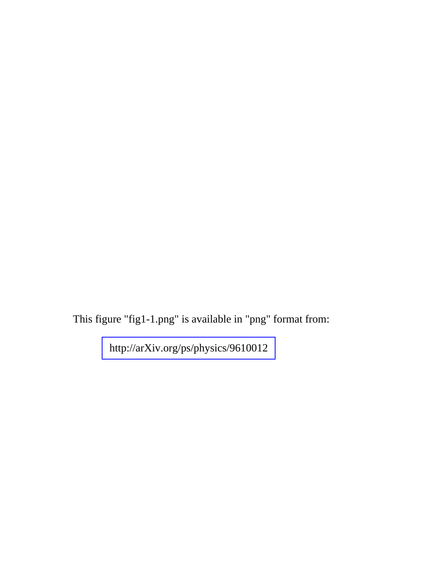This figure "fig1-1.png" is available in "png" format from:

<http://arXiv.org/ps/physics/9610012>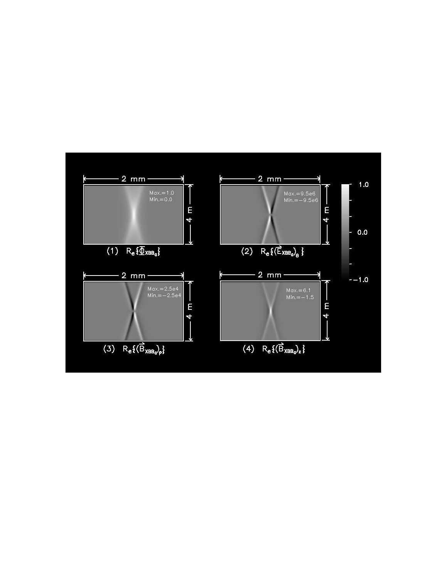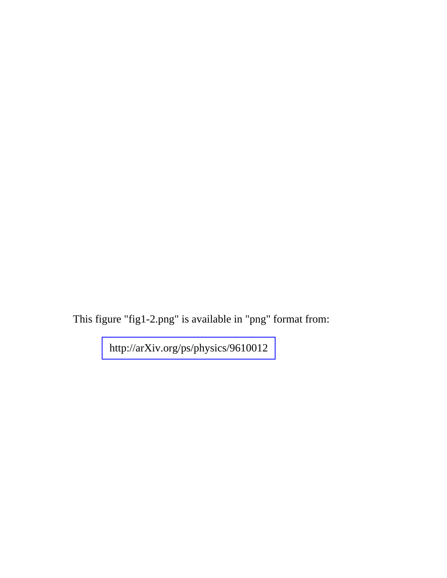This figure "fig1-2.png" is available in "png" format from:

<http://arXiv.org/ps/physics/9610012>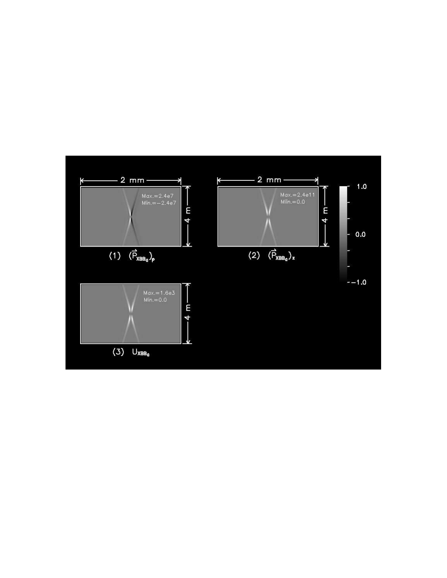